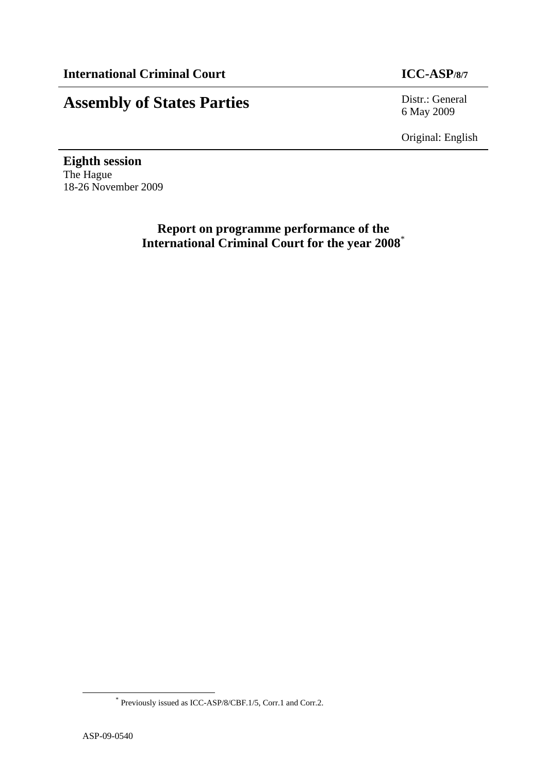## **Assembly of States Parties** Distr.: General

6 May 2009

Original: English

**Eighth session**  The Hague 18-26 November 2009

> **Report on programme performance of the International Criminal Court for the year 2008**\*

 <sup>\*</sup> Previously issued as ICC-ASP/8/CBF.1/5, Corr.1 and Corr.2.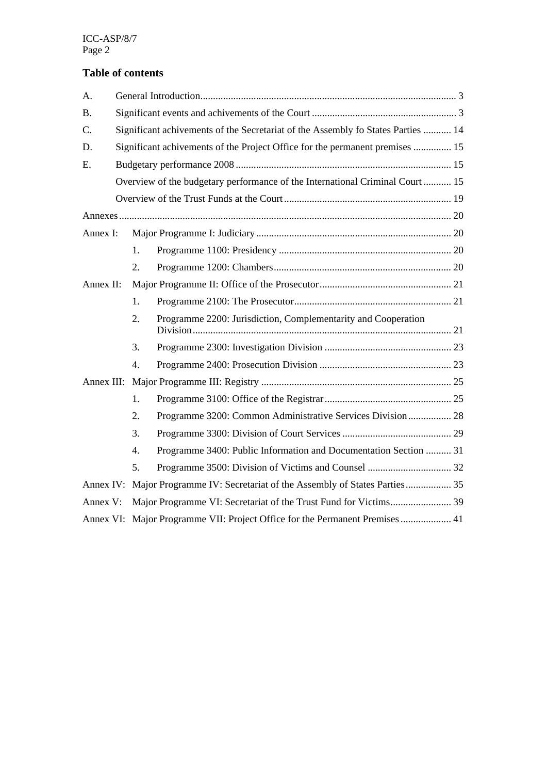### **Table of contents**

| A.        |                                                                                  |                  |                                                                                |  |  |  |  |
|-----------|----------------------------------------------------------------------------------|------------------|--------------------------------------------------------------------------------|--|--|--|--|
| <b>B.</b> |                                                                                  |                  |                                                                                |  |  |  |  |
| C.        | Significant achivements of the Secretariat of the Assembly fo States Parties  14 |                  |                                                                                |  |  |  |  |
| D.        |                                                                                  |                  | Significant achivements of the Project Office for the permanent premises  15   |  |  |  |  |
| E.        |                                                                                  |                  |                                                                                |  |  |  |  |
|           |                                                                                  |                  | Overview of the budgetary performance of the International Criminal Court  15  |  |  |  |  |
|           |                                                                                  |                  |                                                                                |  |  |  |  |
|           |                                                                                  |                  |                                                                                |  |  |  |  |
| Annex I:  |                                                                                  |                  |                                                                                |  |  |  |  |
|           |                                                                                  | $1_{-}$          |                                                                                |  |  |  |  |
|           |                                                                                  | 2.               |                                                                                |  |  |  |  |
| Annex II: |                                                                                  |                  |                                                                                |  |  |  |  |
|           |                                                                                  | 1.               |                                                                                |  |  |  |  |
|           |                                                                                  | 2.               | Programme 2200: Jurisdiction, Complementarity and Cooperation                  |  |  |  |  |
|           |                                                                                  | 3.               |                                                                                |  |  |  |  |
|           |                                                                                  | $\overline{4}$ . |                                                                                |  |  |  |  |
|           |                                                                                  |                  |                                                                                |  |  |  |  |
|           |                                                                                  | 1.               |                                                                                |  |  |  |  |
|           |                                                                                  | 2.               | Programme 3200: Common Administrative Services Division 28                     |  |  |  |  |
|           |                                                                                  | 3.               |                                                                                |  |  |  |  |
|           |                                                                                  | $\overline{4}$ . | Programme 3400: Public Information and Documentation Section  31               |  |  |  |  |
|           |                                                                                  | 5.               |                                                                                |  |  |  |  |
|           |                                                                                  |                  | Annex IV: Major Programme IV: Secretariat of the Assembly of States Parties 35 |  |  |  |  |
| Annex V:  |                                                                                  |                  |                                                                                |  |  |  |  |
|           | Annex VI: Major Programme VII: Project Office for the Permanent Premises  41     |                  |                                                                                |  |  |  |  |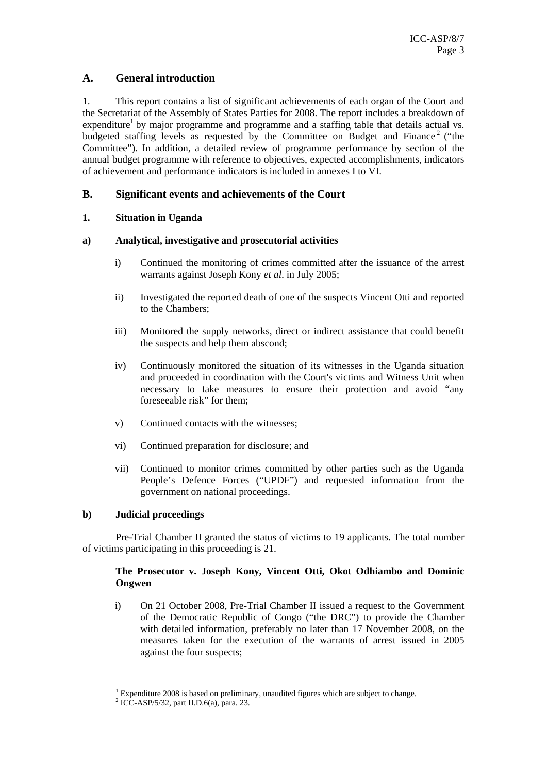#### **A. General introduction**

1. This report contains a list of significant achievements of each organ of the Court and the Secretariat of the Assembly of States Parties for 2008. The report includes a breakdown of expenditure<sup>1</sup> by major programme and programme and a staffing table that details actual vs. budgeted staffing levels as requested by the Committee on Budget and Finance<sup>2</sup> ("the Committee"). In addition, a detailed review of programme performance by section of the annual budget programme with reference to objectives, expected accomplishments, indicators of achievement and performance indicators is included in annexes I to VI.

#### **B. Significant events and achievements of the Court**

#### **1. Situation in Uganda**

#### **a) Analytical, investigative and prosecutorial activities**

- i) Continued the monitoring of crimes committed after the issuance of the arrest warrants against Joseph Kony *et al*. in July 2005;
- ii) Investigated the reported death of one of the suspects Vincent Otti and reported to the Chambers;
- iii) Monitored the supply networks, direct or indirect assistance that could benefit the suspects and help them abscond;
- iv) Continuously monitored the situation of its witnesses in the Uganda situation and proceeded in coordination with the Court's victims and Witness Unit when necessary to take measures to ensure their protection and avoid "any foreseeable risk" for them;
- v) Continued contacts with the witnesses;
- vi) Continued preparation for disclosure; and
- vii) Continued to monitor crimes committed by other parties such as the Uganda People's Defence Forces ("UPDF") and requested information from the government on national proceedings.

#### **b) Judicial proceedings**

Pre-Trial Chamber II granted the status of victims to 19 applicants. The total number of victims participating in this proceeding is 21.

#### **The Prosecutor v. Joseph Kony, Vincent Otti, Okot Odhiambo and Dominic Ongwen**

i) On 21 October 2008, Pre-Trial Chamber II issued a request to the Government of the Democratic Republic of Congo ("the DRC") to provide the Chamber with detailed information, preferably no later than 17 November 2008, on the measures taken for the execution of the warrants of arrest issued in 2005 against the four suspects;

<sup>&</sup>lt;u>1</u>  $1$  Expenditure 2008 is based on preliminary, unaudited figures which are subject to change.

 $\frac{1}{2}$  ICC-ASP/5/32, part II.D.6(a), para. 23.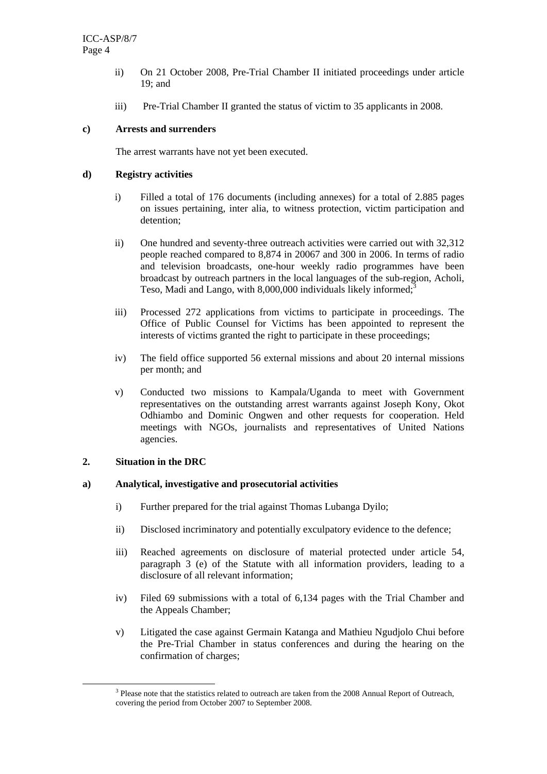- ii) On 21 October 2008, Pre-Trial Chamber II initiated proceedings under article 19; and
- iii) Pre-Trial Chamber II granted the status of victim to 35 applicants in 2008.

#### **c) Arrests and surrenders**

The arrest warrants have not yet been executed.

#### **d) Registry activities**

- i) Filled a total of 176 documents (including annexes) for a total of 2.885 pages on issues pertaining, inter alia, to witness protection, victim participation and detention;
- ii) One hundred and seventy-three outreach activities were carried out with 32,312 people reached compared to 8,874 in 20067 and 300 in 2006. In terms of radio and television broadcasts, one-hour weekly radio programmes have been broadcast by outreach partners in the local languages of the sub-region, Acholi, Teso, Madi and Lango, with 8,000,000 individuals likely informed;<sup>3</sup>
- iii) Processed 272 applications from victims to participate in proceedings. The Office of Public Counsel for Victims has been appointed to represent the interests of victims granted the right to participate in these proceedings;
- iv) The field office supported 56 external missions and about 20 internal missions per month; and
- v) Conducted two missions to Kampala/Uganda to meet with Government representatives on the outstanding arrest warrants against Joseph Kony, Okot Odhiambo and Dominic Ongwen and other requests for cooperation. Held meetings with NGOs, journalists and representatives of United Nations agencies.

#### **2. Situation in the DRC**

#### **a) Analytical, investigative and prosecutorial activities**

- i) Further prepared for the trial against Thomas Lubanga Dyilo;
- ii) Disclosed incriminatory and potentially exculpatory evidence to the defence;
- iii) Reached agreements on disclosure of material protected under article 54, paragraph 3 (e) of the Statute with all information providers, leading to a disclosure of all relevant information;
- iv) Filed 69 submissions with a total of 6,134 pages with the Trial Chamber and the Appeals Chamber;
- v) Litigated the case against Germain Katanga and Mathieu Ngudjolo Chui before the Pre-Trial Chamber in status conferences and during the hearing on the confirmation of charges;

 <sup>3</sup> <sup>3</sup> Please note that the statistics related to outreach are taken from the 2008 Annual Report of Outreach, covering the period from October 2007 to September 2008.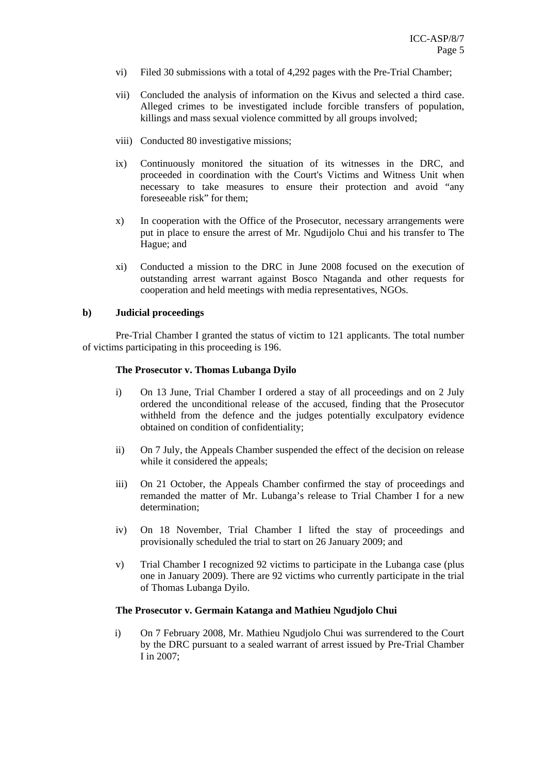- vi) Filed 30 submissions with a total of 4,292 pages with the Pre-Trial Chamber;
- vii) Concluded the analysis of information on the Kivus and selected a third case. Alleged crimes to be investigated include forcible transfers of population, killings and mass sexual violence committed by all groups involved;
- viii) Conducted 80 investigative missions;
- ix) Continuously monitored the situation of its witnesses in the DRC, and proceeded in coordination with the Court's Victims and Witness Unit when necessary to take measures to ensure their protection and avoid "any foreseeable risk" for them;
- x) In cooperation with the Office of the Prosecutor, necessary arrangements were put in place to ensure the arrest of Mr. Ngudijolo Chui and his transfer to The Hague; and
- xi) Conducted a mission to the DRC in June 2008 focused on the execution of outstanding arrest warrant against Bosco Ntaganda and other requests for cooperation and held meetings with media representatives, NGOs.

#### **b) Judicial proceedings**

Pre-Trial Chamber I granted the status of victim to 121 applicants. The total number of victims participating in this proceeding is 196.

#### **The Prosecutor v. Thomas Lubanga Dyilo**

- i) On 13 June, Trial Chamber I ordered a stay of all proceedings and on 2 July ordered the unconditional release of the accused, finding that the Prosecutor withheld from the defence and the judges potentially exculpatory evidence obtained on condition of confidentiality;
- ii) On 7 July, the Appeals Chamber suspended the effect of the decision on release while it considered the appeals;
- iii) On 21 October, the Appeals Chamber confirmed the stay of proceedings and remanded the matter of Mr. Lubanga's release to Trial Chamber I for a new determination;
- iv) On 18 November, Trial Chamber I lifted the stay of proceedings and provisionally scheduled the trial to start on 26 January 2009; and
- v) Trial Chamber I recognized 92 victims to participate in the Lubanga case (plus one in January 2009). There are 92 victims who currently participate in the trial of Thomas Lubanga Dyilo.

#### **The Prosecutor v. Germain Katanga and Mathieu Ngudjolo Chui**

i) On 7 February 2008, Mr. Mathieu Ngudjolo Chui was surrendered to the Court by the DRC pursuant to a sealed warrant of arrest issued by Pre-Trial Chamber I in 2007;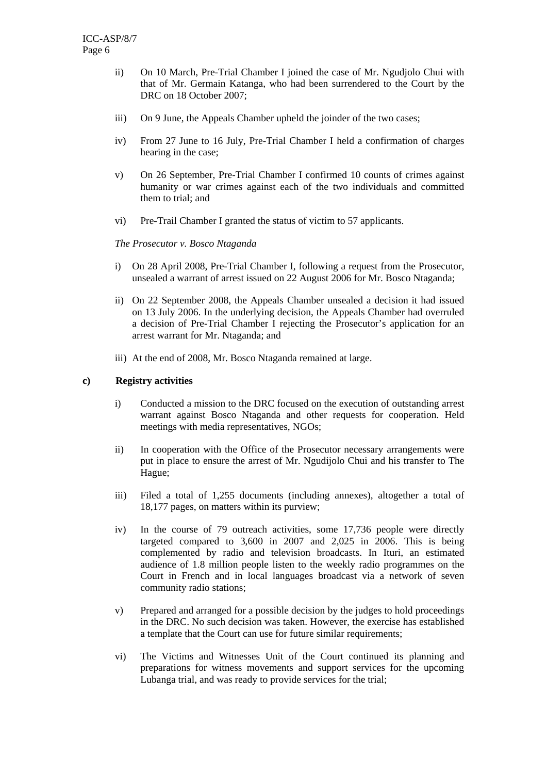- ii) On 10 March, Pre-Trial Chamber I joined the case of Mr. Ngudjolo Chui with that of Mr. Germain Katanga, who had been surrendered to the Court by the DRC on 18 October 2007;
- iii) On 9 June, the Appeals Chamber upheld the joinder of the two cases;
- iv) From 27 June to 16 July, Pre-Trial Chamber I held a confirmation of charges hearing in the case;
- v) On 26 September, Pre-Trial Chamber I confirmed 10 counts of crimes against humanity or war crimes against each of the two individuals and committed them to trial; and
- vi) Pre-Trail Chamber I granted the status of victim to 57 applicants.

#### *The Prosecutor v. Bosco Ntaganda*

- i) On 28 April 2008, Pre-Trial Chamber I, following a request from the Prosecutor, unsealed a warrant of arrest issued on 22 August 2006 for Mr. Bosco Ntaganda;
- ii) On 22 September 2008, the Appeals Chamber unsealed a decision it had issued on 13 July 2006. In the underlying decision, the Appeals Chamber had overruled a decision of Pre-Trial Chamber I rejecting the Prosecutor's application for an arrest warrant for Mr. Ntaganda; and
- iii) At the end of 2008, Mr. Bosco Ntaganda remained at large.

#### **c) Registry activities**

- i) Conducted a mission to the DRC focused on the execution of outstanding arrest warrant against Bosco Ntaganda and other requests for cooperation. Held meetings with media representatives, NGOs;
- ii) In cooperation with the Office of the Prosecutor necessary arrangements were put in place to ensure the arrest of Mr. Ngudijolo Chui and his transfer to The Hague;
- iii) Filed a total of 1,255 documents (including annexes), altogether a total of 18,177 pages, on matters within its purview;
- iv) In the course of 79 outreach activities, some 17,736 people were directly targeted compared to 3,600 in 2007 and 2,025 in 2006. This is being complemented by radio and television broadcasts. In Ituri, an estimated audience of 1.8 million people listen to the weekly radio programmes on the Court in French and in local languages broadcast via a network of seven community radio stations;
- v) Prepared and arranged for a possible decision by the judges to hold proceedings in the DRC. No such decision was taken. However, the exercise has established a template that the Court can use for future similar requirements;
- vi) The Victims and Witnesses Unit of the Court continued its planning and preparations for witness movements and support services for the upcoming Lubanga trial, and was ready to provide services for the trial;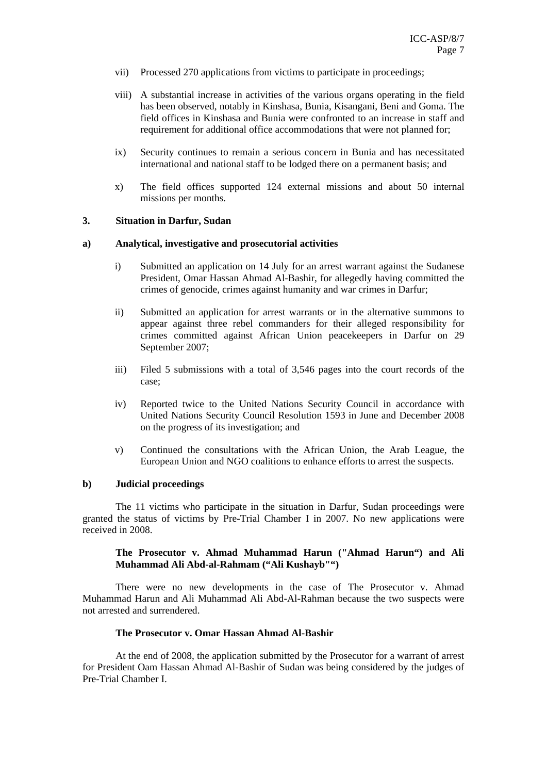- vii) Processed 270 applications from victims to participate in proceedings;
- viii) A substantial increase in activities of the various organs operating in the field has been observed, notably in Kinshasa, Bunia, Kisangani, Beni and Goma. The field offices in Kinshasa and Bunia were confronted to an increase in staff and requirement for additional office accommodations that were not planned for;
- ix) Security continues to remain a serious concern in Bunia and has necessitated international and national staff to be lodged there on a permanent basis; and
- x) The field offices supported 124 external missions and about 50 internal missions per months.

#### **3. Situation in Darfur, Sudan**

#### **a) Analytical, investigative and prosecutorial activities**

- i) Submitted an application on 14 July for an arrest warrant against the Sudanese President, Omar Hassan Ahmad Al-Bashir, for allegedly having committed the crimes of genocide, crimes against humanity and war crimes in Darfur;
- ii) Submitted an application for arrest warrants or in the alternative summons to appear against three rebel commanders for their alleged responsibility for crimes committed against African Union peacekeepers in Darfur on 29 September 2007;
- iii) Filed 5 submissions with a total of 3,546 pages into the court records of the case;
- iv) Reported twice to the United Nations Security Council in accordance with United Nations Security Council Resolution 1593 in June and December 2008 on the progress of its investigation; and
- v) Continued the consultations with the African Union, the Arab League, the European Union and NGO coalitions to enhance efforts to arrest the suspects.

#### **b) Judicial proceedings**

The 11 victims who participate in the situation in Darfur, Sudan proceedings were granted the status of victims by Pre-Trial Chamber I in 2007. No new applications were received in 2008.

#### **The Prosecutor v. Ahmad Muhammad Harun ("Ahmad Harun") and Ali Muhammad Ali Abd-al-Rahmam ("Ali Kushayb"")**

There were no new developments in the case of The Prosecutor v. Ahmad Muhammad Harun and Ali Muhammad Ali Abd-Al-Rahman because the two suspects were not arrested and surrendered.

#### **The Prosecutor v. Omar Hassan Ahmad Al-Bashir**

At the end of 2008, the application submitted by the Prosecutor for a warrant of arrest for President Oam Hassan Ahmad Al-Bashir of Sudan was being considered by the judges of Pre-Trial Chamber I.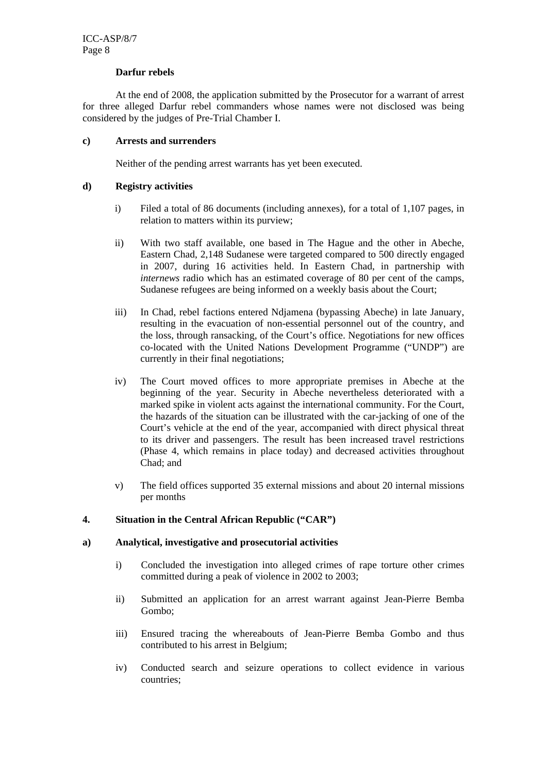#### **Darfur rebels**

At the end of 2008, the application submitted by the Prosecutor for a warrant of arrest for three alleged Darfur rebel commanders whose names were not disclosed was being considered by the judges of Pre-Trial Chamber I.

#### **c) Arrests and surrenders**

Neither of the pending arrest warrants has yet been executed.

#### **d) Registry activities**

- i) Filed a total of 86 documents (including annexes), for a total of 1,107 pages, in relation to matters within its purview;
- ii) With two staff available, one based in The Hague and the other in Abeche, Eastern Chad, 2,148 Sudanese were targeted compared to 500 directly engaged in 2007, during 16 activities held. In Eastern Chad, in partnership with *internews* radio which has an estimated coverage of 80 per cent of the camps, Sudanese refugees are being informed on a weekly basis about the Court;
- iii) In Chad, rebel factions entered Ndjamena (bypassing Abeche) in late January, resulting in the evacuation of non-essential personnel out of the country, and the loss, through ransacking, of the Court's office. Negotiations for new offices co-located with the United Nations Development Programme ("UNDP") are currently in their final negotiations;
- iv) The Court moved offices to more appropriate premises in Abeche at the beginning of the year. Security in Abeche nevertheless deteriorated with a marked spike in violent acts against the international community. For the Court, the hazards of the situation can be illustrated with the car-jacking of one of the Court's vehicle at the end of the year, accompanied with direct physical threat to its driver and passengers. The result has been increased travel restrictions (Phase 4, which remains in place today) and decreased activities throughout Chad; and
- v) The field offices supported 35 external missions and about 20 internal missions per months

#### **4. Situation in the Central African Republic ("CAR")**

#### **a) Analytical, investigative and prosecutorial activities**

- i) Concluded the investigation into alleged crimes of rape torture other crimes committed during a peak of violence in 2002 to 2003;
- ii) Submitted an application for an arrest warrant against Jean-Pierre Bemba Gombo;
- iii) Ensured tracing the whereabouts of Jean-Pierre Bemba Gombo and thus contributed to his arrest in Belgium;
- iv) Conducted search and seizure operations to collect evidence in various countries;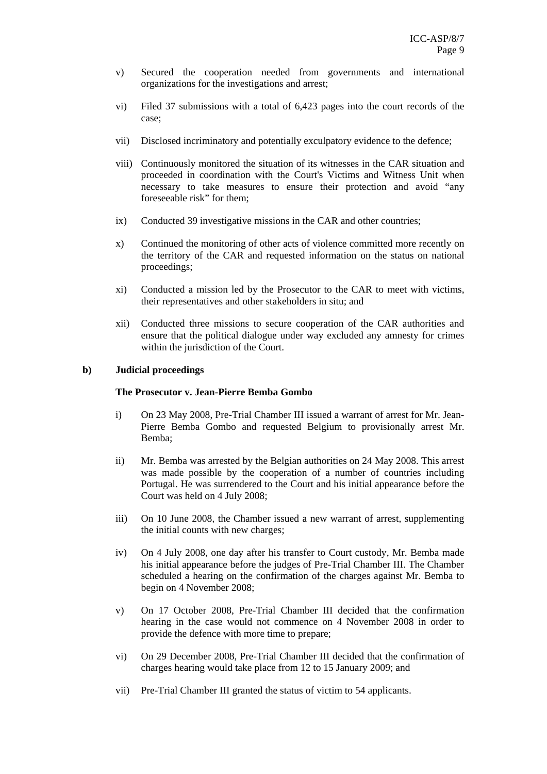- v) Secured the cooperation needed from governments and international organizations for the investigations and arrest;
- vi) Filed 37 submissions with a total of 6,423 pages into the court records of the case;
- vii) Disclosed incriminatory and potentially exculpatory evidence to the defence;
- viii) Continuously monitored the situation of its witnesses in the CAR situation and proceeded in coordination with the Court's Victims and Witness Unit when necessary to take measures to ensure their protection and avoid "any foreseeable risk" for them;
- ix) Conducted 39 investigative missions in the CAR and other countries;
- x) Continued the monitoring of other acts of violence committed more recently on the territory of the CAR and requested information on the status on national proceedings;
- xi) Conducted a mission led by the Prosecutor to the CAR to meet with victims, their representatives and other stakeholders in situ; and
- xii) Conducted three missions to secure cooperation of the CAR authorities and ensure that the political dialogue under way excluded any amnesty for crimes within the jurisdiction of the Court.

#### **b) Judicial proceedings**

#### **The Prosecutor v. Jean-Pierre Bemba Gombo**

- i) On 23 May 2008, Pre-Trial Chamber III issued a warrant of arrest for Mr. Jean-Pierre Bemba Gombo and requested Belgium to provisionally arrest Mr. Bemba;
- ii) Mr. Bemba was arrested by the Belgian authorities on 24 May 2008. This arrest was made possible by the cooperation of a number of countries including Portugal. He was surrendered to the Court and his initial appearance before the Court was held on 4 July 2008;
- iii) On 10 June 2008, the Chamber issued a new warrant of arrest, supplementing the initial counts with new charges;
- iv) On 4 July 2008, one day after his transfer to Court custody, Mr. Bemba made his initial appearance before the judges of Pre-Trial Chamber III. The Chamber scheduled a hearing on the confirmation of the charges against Mr. Bemba to begin on 4 November 2008;
- v) On 17 October 2008, Pre-Trial Chamber III decided that the confirmation hearing in the case would not commence on 4 November 2008 in order to provide the defence with more time to prepare;
- vi) On 29 December 2008, Pre-Trial Chamber III decided that the confirmation of charges hearing would take place from 12 to 15 January 2009; and
- vii) Pre-Trial Chamber III granted the status of victim to 54 applicants.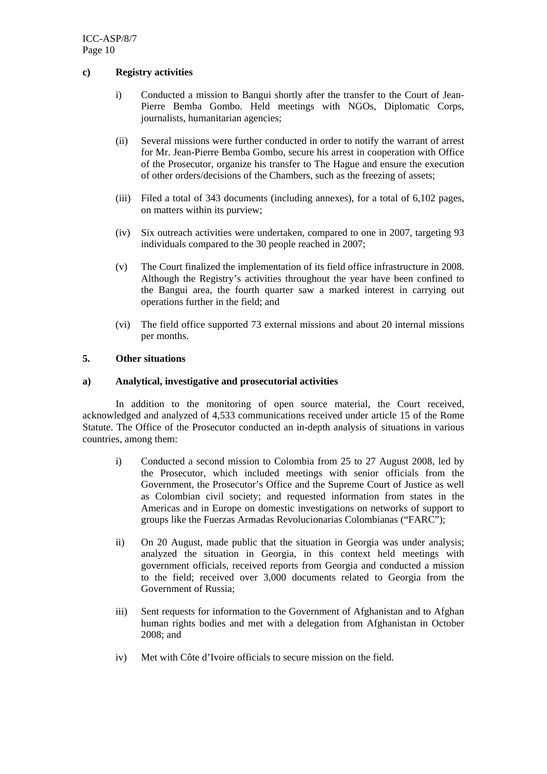#### **c) Registry activities**

- i) Conducted a mission to Bangui shortly after the transfer to the Court of Jean-Pierre Bemba Gombo. Held meetings with NGOs, Diplomatic Corps, journalists, humanitarian agencies;
- (ii) Several missions were further conducted in order to notify the warrant of arrest for Mr. Jean-Pierre Bemba Gombo, secure his arrest in cooperation with Office of the Prosecutor, organize his transfer to The Hague and ensure the execution of other orders/decisions of the Chambers, such as the freezing of assets;
- (iii) Filed a total of 343 documents (including annexes), for a total of 6,102 pages, on matters within its purview;
- (iv) Six outreach activities were undertaken, compared to one in 2007, targeting 93 individuals compared to the 30 people reached in 2007;
- (v) The Court finalized the implementation of its field office infrastructure in 2008. Although the Registry's activities throughout the year have been confined to the Bangui area, the fourth quarter saw a marked interest in carrying out operations further in the field; and
- (vi) The field office supported 73 external missions and about 20 internal missions per months.

#### **5. Other situations**

#### **a) Analytical, investigative and prosecutorial activities**

In addition to the monitoring of open source material, the Court received, acknowledged and analyzed of 4,533 communications received under article 15 of the Rome Statute. The Office of the Prosecutor conducted an in-depth analysis of situations in various countries, among them:

- i) Conducted a second mission to Colombia from 25 to 27 August 2008, led by the Prosecutor, which included meetings with senior officials from the Government, the Prosecutor's Office and the Supreme Court of Justice as well as Colombian civil society; and requested information from states in the Americas and in Europe on domestic investigations on networks of support to groups like the Fuerzas Armadas Revolucionarias Colombianas ("FARC");
- ii) On 20 August, made public that the situation in Georgia was under analysis; analyzed the situation in Georgia, in this context held meetings with government officials, received reports from Georgia and conducted a mission to the field; received over 3,000 documents related to Georgia from the Government of Russia;
- iii) Sent requests for information to the Government of Afghanistan and to Afghan human rights bodies and met with a delegation from Afghanistan in October 2008; and
- iv) Met with Côte d'Ivoire officials to secure mission on the field.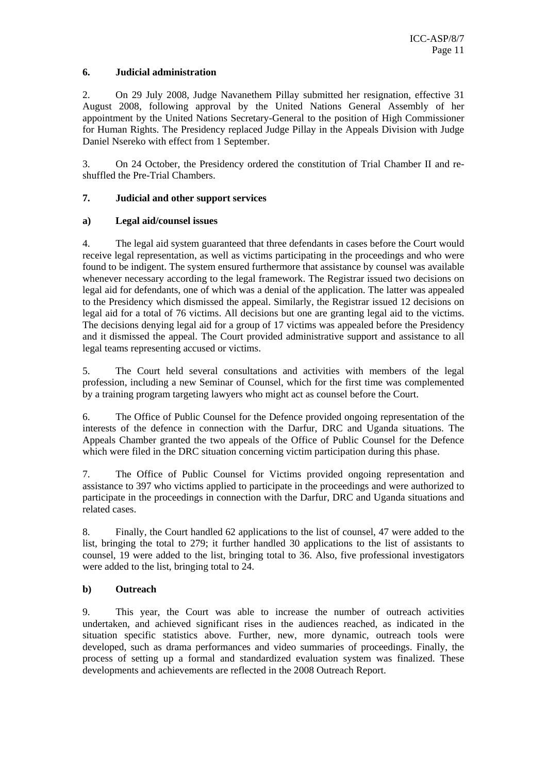#### **6. Judicial administration**

2. On 29 July 2008, Judge Navanethem Pillay submitted her resignation, effective 31 August 2008, following approval by the United Nations General Assembly of her appointment by the United Nations Secretary-General to the position of High Commissioner for Human Rights. The Presidency replaced Judge Pillay in the Appeals Division with Judge Daniel Nsereko with effect from 1 September.

3. On 24 October, the Presidency ordered the constitution of Trial Chamber II and reshuffled the Pre-Trial Chambers.

#### **7. Judicial and other support services**

#### **a) Legal aid/counsel issues**

4. The legal aid system guaranteed that three defendants in cases before the Court would receive legal representation, as well as victims participating in the proceedings and who were found to be indigent. The system ensured furthermore that assistance by counsel was available whenever necessary according to the legal framework. The Registrar issued two decisions on legal aid for defendants, one of which was a denial of the application. The latter was appealed to the Presidency which dismissed the appeal. Similarly, the Registrar issued 12 decisions on legal aid for a total of 76 victims. All decisions but one are granting legal aid to the victims. The decisions denying legal aid for a group of 17 victims was appealed before the Presidency and it dismissed the appeal. The Court provided administrative support and assistance to all legal teams representing accused or victims.

5. The Court held several consultations and activities with members of the legal profession, including a new Seminar of Counsel, which for the first time was complemented by a training program targeting lawyers who might act as counsel before the Court.

6. The Office of Public Counsel for the Defence provided ongoing representation of the interests of the defence in connection with the Darfur, DRC and Uganda situations. The Appeals Chamber granted the two appeals of the Office of Public Counsel for the Defence which were filed in the DRC situation concerning victim participation during this phase.

7. The Office of Public Counsel for Victims provided ongoing representation and assistance to 397 who victims applied to participate in the proceedings and were authorized to participate in the proceedings in connection with the Darfur, DRC and Uganda situations and related cases.

8. Finally, the Court handled 62 applications to the list of counsel, 47 were added to the list, bringing the total to 279; it further handled 30 applications to the list of assistants to counsel, 19 were added to the list, bringing total to 36. Also, five professional investigators were added to the list, bringing total to 24.

#### **b) Outreach**

9. This year, the Court was able to increase the number of outreach activities undertaken, and achieved significant rises in the audiences reached, as indicated in the situation specific statistics above. Further, new, more dynamic, outreach tools were developed, such as drama performances and video summaries of proceedings. Finally, the process of setting up a formal and standardized evaluation system was finalized. These developments and achievements are reflected in the 2008 Outreach Report.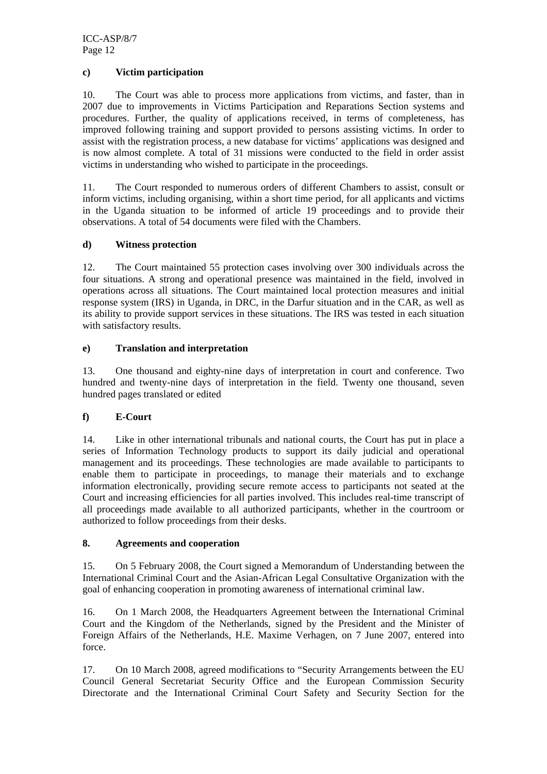ICC-ASP/8/7 Page 12

#### **c) Victim participation**

10. The Court was able to process more applications from victims, and faster, than in 2007 due to improvements in Victims Participation and Reparations Section systems and procedures. Further, the quality of applications received, in terms of completeness, has improved following training and support provided to persons assisting victims. In order to assist with the registration process, a new database for victims' applications was designed and is now almost complete. A total of 31 missions were conducted to the field in order assist victims in understanding who wished to participate in the proceedings.

11. The Court responded to numerous orders of different Chambers to assist, consult or inform victims, including organising, within a short time period, for all applicants and victims in the Uganda situation to be informed of article 19 proceedings and to provide their observations. A total of 54 documents were filed with the Chambers.

#### **d) Witness protection**

12. The Court maintained 55 protection cases involving over 300 individuals across the four situations. A strong and operational presence was maintained in the field, involved in operations across all situations. The Court maintained local protection measures and initial response system (IRS) in Uganda, in DRC, in the Darfur situation and in the CAR, as well as its ability to provide support services in these situations. The IRS was tested in each situation with satisfactory results.

#### **e) Translation and interpretation**

13. One thousand and eighty-nine days of interpretation in court and conference. Two hundred and twenty-nine days of interpretation in the field. Twenty one thousand, seven hundred pages translated or edited

#### **f) E-Court**

14. Like in other international tribunals and national courts, the Court has put in place a series of Information Technology products to support its daily judicial and operational management and its proceedings. These technologies are made available to participants to enable them to participate in proceedings, to manage their materials and to exchange information electronically, providing secure remote access to participants not seated at the Court and increasing efficiencies for all parties involved. This includes real-time transcript of all proceedings made available to all authorized participants, whether in the courtroom or authorized to follow proceedings from their desks.

#### **8. Agreements and cooperation**

15. On 5 February 2008, the Court signed a Memorandum of Understanding between the International Criminal Court and the Asian-African Legal Consultative Organization with the goal of enhancing cooperation in promoting awareness of international criminal law.

16. On 1 March 2008, the Headquarters Agreement between the International Criminal Court and the Kingdom of the Netherlands, signed by the President and the Minister of Foreign Affairs of the Netherlands, H.E. Maxime Verhagen, on 7 June 2007, entered into force.

17. On 10 March 2008, agreed modifications to "Security Arrangements between the EU Council General Secretariat Security Office and the European Commission Security Directorate and the International Criminal Court Safety and Security Section for the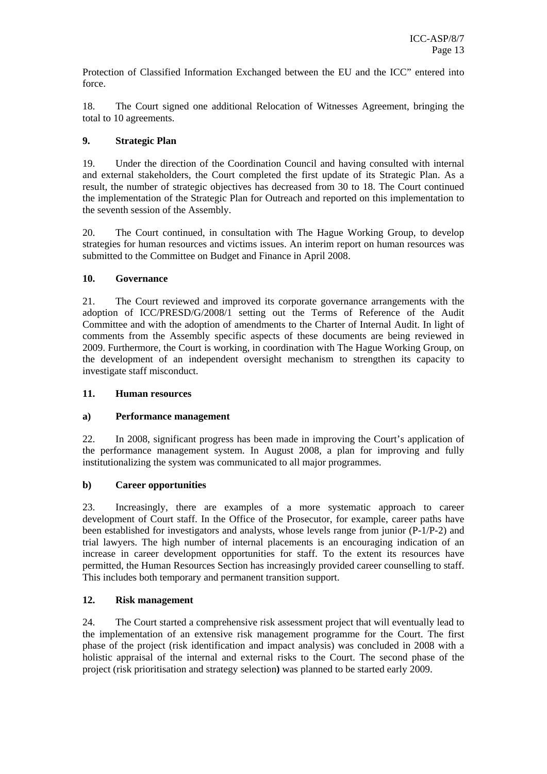Protection of Classified Information Exchanged between the EU and the ICC" entered into force.

18. The Court signed one additional Relocation of Witnesses Agreement, bringing the total to 10 agreements.

#### **9. Strategic Plan**

19. Under the direction of the Coordination Council and having consulted with internal and external stakeholders, the Court completed the first update of its Strategic Plan. As a result, the number of strategic objectives has decreased from 30 to 18. The Court continued the implementation of the Strategic Plan for Outreach and reported on this implementation to the seventh session of the Assembly.

20. The Court continued, in consultation with The Hague Working Group, to develop strategies for human resources and victims issues. An interim report on human resources was submitted to the Committee on Budget and Finance in April 2008.

#### **10. Governance**

21. The Court reviewed and improved its corporate governance arrangements with the adoption of ICC/PRESD/G/2008/1 setting out the Terms of Reference of the Audit Committee and with the adoption of amendments to the Charter of Internal Audit. In light of comments from the Assembly specific aspects of these documents are being reviewed in 2009. Furthermore, the Court is working, in coordination with The Hague Working Group, on the development of an independent oversight mechanism to strengthen its capacity to investigate staff misconduct.

#### **11. Human resources**

#### **a) Performance management**

22. In 2008, significant progress has been made in improving the Court's application of the performance management system. In August 2008, a plan for improving and fully institutionalizing the system was communicated to all major programmes.

#### **b) Career opportunities**

23. Increasingly, there are examples of a more systematic approach to career development of Court staff. In the Office of the Prosecutor, for example, career paths have been established for investigators and analysts, whose levels range from junior (P-1/P-2) and trial lawyers. The high number of internal placements is an encouraging indication of an increase in career development opportunities for staff. To the extent its resources have permitted, the Human Resources Section has increasingly provided career counselling to staff. This includes both temporary and permanent transition support.

#### **12. Risk management**

24. The Court started a comprehensive risk assessment project that will eventually lead to the implementation of an extensive risk management programme for the Court. The first phase of the project (risk identification and impact analysis) was concluded in 2008 with a holistic appraisal of the internal and external risks to the Court. The second phase of the project (risk prioritisation and strategy selection**)** was planned to be started early 2009.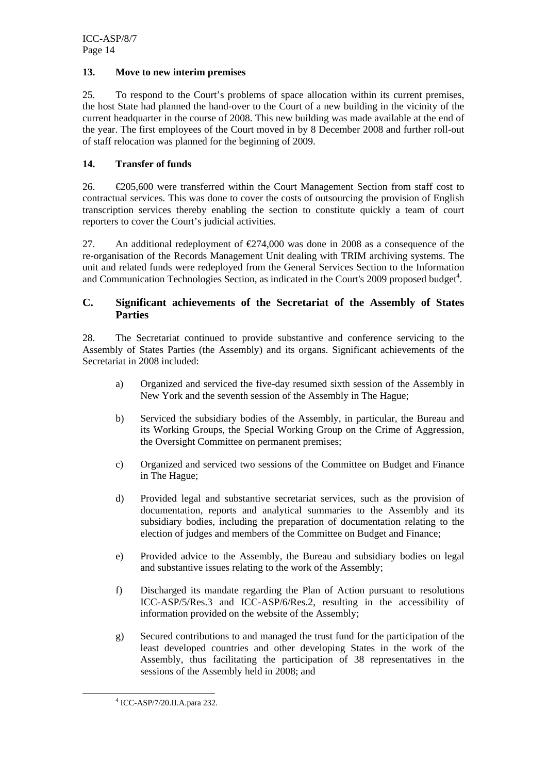#### **13. Move to new interim premises**

25. To respond to the Court's problems of space allocation within its current premises, the host State had planned the hand-over to the Court of a new building in the vicinity of the current headquarter in the course of 2008. This new building was made available at the end of the year. The first employees of the Court moved in by 8 December 2008 and further roll-out of staff relocation was planned for the beginning of 2009.

#### **14. Transfer of funds**

26. €205,600 were transferred within the Court Management Section from staff cost to contractual services. This was done to cover the costs of outsourcing the provision of English transcription services thereby enabling the section to constitute quickly a team of court reporters to cover the Court's judicial activities.

27. An additional redeployment of €274,000 was done in 2008 as a consequence of the re-organisation of the Records Management Unit dealing with TRIM archiving systems. The unit and related funds were redeployed from the General Services Section to the Information and Communication Technologies Section, as indicated in the Court's 2009 proposed budget<sup>4</sup>.

#### **C. Significant achievements of the Secretariat of the Assembly of States Parties**

28. The Secretariat continued to provide substantive and conference servicing to the Assembly of States Parties (the Assembly) and its organs. Significant achievements of the Secretariat in 2008 included:

- a) Organized and serviced the five-day resumed sixth session of the Assembly in New York and the seventh session of the Assembly in The Hague;
- b) Serviced the subsidiary bodies of the Assembly, in particular, the Bureau and its Working Groups, the Special Working Group on the Crime of Aggression, the Oversight Committee on permanent premises;
- c) Organized and serviced two sessions of the Committee on Budget and Finance in The Hague;
- d) Provided legal and substantive secretariat services, such as the provision of documentation, reports and analytical summaries to the Assembly and its subsidiary bodies, including the preparation of documentation relating to the election of judges and members of the Committee on Budget and Finance;
- e) Provided advice to the Assembly, the Bureau and subsidiary bodies on legal and substantive issues relating to the work of the Assembly;
- f) Discharged its mandate regarding the Plan of Action pursuant to resolutions ICC-ASP/5/Res.3 and ICC-ASP/6/Res.2, resulting in the accessibility of information provided on the website of the Assembly;
- g) Secured contributions to and managed the trust fund for the participation of the least developed countries and other developing States in the work of the Assembly, thus facilitating the participation of 38 representatives in the sessions of the Assembly held in 2008; and

 <sup>4</sup> ICC-ASP/7/20.II.A.para 232.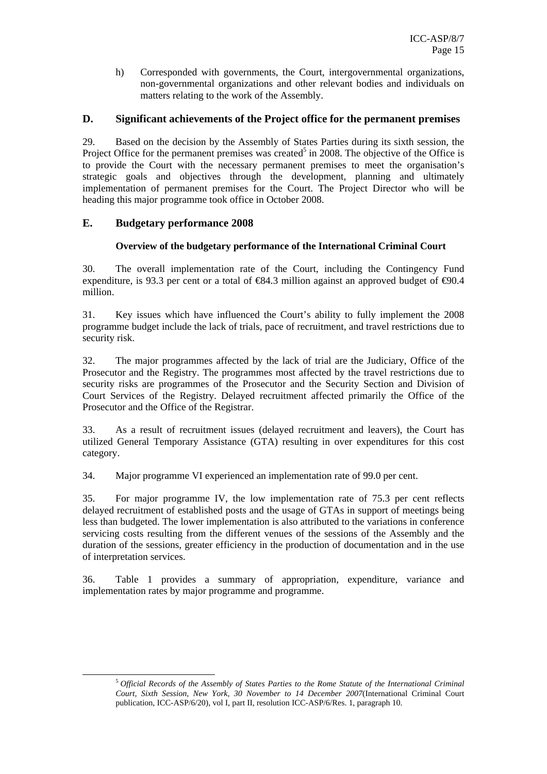h) Corresponded with governments, the Court, intergovernmental organizations, non-governmental organizations and other relevant bodies and individuals on matters relating to the work of the Assembly.

#### **D. Significant achievements of the Project office for the permanent premises**

29. Based on the decision by the Assembly of States Parties during its sixth session, the Project Office for the permanent premises was created<sup>5</sup> in 2008. The objective of the Office is to provide the Court with the necessary permanent premises to meet the organisation's strategic goals and objectives through the development, planning and ultimately implementation of permanent premises for the Court. The Project Director who will be heading this major programme took office in October 2008.

#### **E. Budgetary performance 2008**

#### **Overview of the budgetary performance of the International Criminal Court**

30. The overall implementation rate of the Court, including the Contingency Fund expenditure, is 93.3 per cent or a total of  $\epsilon$ 84.3 million against an approved budget of  $\epsilon$ 90.4 million.

31. Key issues which have influenced the Court's ability to fully implement the 2008 programme budget include the lack of trials, pace of recruitment, and travel restrictions due to security risk.

32. The major programmes affected by the lack of trial are the Judiciary, Office of the Prosecutor and the Registry. The programmes most affected by the travel restrictions due to security risks are programmes of the Prosecutor and the Security Section and Division of Court Services of the Registry. Delayed recruitment affected primarily the Office of the Prosecutor and the Office of the Registrar.

33. As a result of recruitment issues (delayed recruitment and leavers), the Court has utilized General Temporary Assistance (GTA) resulting in over expenditures for this cost category.

34. Major programme VI experienced an implementation rate of 99.0 per cent.

35. For major programme IV, the low implementation rate of 75.3 per cent reflects delayed recruitment of established posts and the usage of GTAs in support of meetings being less than budgeted. The lower implementation is also attributed to the variations in conference servicing costs resulting from the different venues of the sessions of the Assembly and the duration of the sessions, greater efficiency in the production of documentation and in the use of interpretation services.

36. Table 1 provides a summary of appropriation, expenditure, variance and implementation rates by major programme and programme.

 <sup>5</sup> *Official Records of the Assembly of States Parties to the Rome Statute of the International Criminal Court, Sixth Session, New York, 30 November to 14 December 2007*(International Criminal Court publication, ICC-ASP/6/20), vol I, part II, resolution ICC-ASP/6/Res. 1, paragraph 10.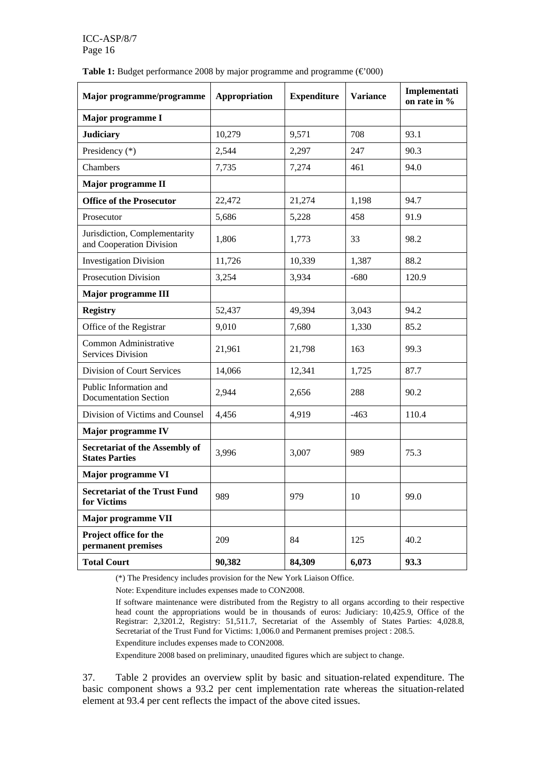| <b>Table 1:</b> Budget performance 2008 by major programme and programme $(\text{\textsterling}000)$ |  |  |  |  |
|------------------------------------------------------------------------------------------------------|--|--|--|--|
|                                                                                                      |  |  |  |  |

| Major programme/programme                                      | Appropriation | <b>Expenditure</b> | <b>Variance</b> | Implementati<br>on rate in % |
|----------------------------------------------------------------|---------------|--------------------|-----------------|------------------------------|
| Major programme I                                              |               |                    |                 |                              |
| <b>Judiciary</b>                                               | 10,279        | 9,571              | 708             | 93.1                         |
| Presidency (*)                                                 | 2,544         | 2,297              | 247             | 90.3                         |
| Chambers                                                       | 7,735         | 7,274              | 461             | 94.0                         |
| Major programme II                                             |               |                    |                 |                              |
| <b>Office of the Prosecutor</b>                                | 22,472        | 21,274             | 1,198           | 94.7                         |
| Prosecutor                                                     | 5,686         | 5,228              | 458             | 91.9                         |
| Jurisdiction, Complementarity<br>and Cooperation Division      | 1,806         | 1,773              | 33              | 98.2                         |
| <b>Investigation Division</b>                                  | 11,726        | 10,339             | 1,387           | 88.2                         |
| <b>Prosecution Division</b>                                    | 3,254         | 3,934              | $-680$          | 120.9                        |
| Major programme III                                            |               |                    |                 |                              |
| <b>Registry</b>                                                | 52,437        | 49,394             | 3,043           | 94.2                         |
| Office of the Registrar                                        | 9,010         | 7,680              | 1,330           | 85.2                         |
| Common Administrative<br><b>Services Division</b>              | 21,961        | 21,798             | 163             | 99.3                         |
| Division of Court Services                                     | 14,066        | 12,341             | 1,725           | 87.7                         |
| Public Information and<br><b>Documentation Section</b>         | 2,944         | 2,656              | 288             | 90.2                         |
| Division of Victims and Counsel                                | 4,456         | 4,919              | $-463$          | 110.4                        |
| Major programme IV                                             |               |                    |                 |                              |
| <b>Secretariat of the Assembly of</b><br><b>States Parties</b> | 3,996         | 3,007              | 989             | 75.3                         |
| Major programme VI                                             |               |                    |                 |                              |
| <b>Secretariat of the Trust Fund</b><br>for Victims            | 989           | 979                | 10              | 99.0                         |
| Major programme VII                                            |               |                    |                 |                              |
| Project office for the<br>permanent premises                   | 209           | 84                 | 125             | 40.2                         |
| <b>Total Court</b>                                             | 90,382        | 84,309             | 6,073           | 93.3                         |

(\*) The Presidency includes provision for the New York Liaison Office.

Note: Expenditure includes expenses made to CON2008.

If software maintenance were distributed from the Registry to all organs according to their respective head count the appropriations would be in thousands of euros: Judiciary: 10,425.9, Office of the Registrar: 2,3201.2, Registry: 51,511.7, Secretariat of the Assembly of States Parties: 4,028.8, Secretariat of the Trust Fund for Victims: 1,006.0 and Permanent premises project : 208.5.

Expenditure includes expenses made to CON2008.

Expenditure 2008 based on preliminary, unaudited figures which are subject to change.

37. Table 2 provides an overview split by basic and situation-related expenditure. The basic component shows a 93.2 per cent implementation rate whereas the situation-related element at 93.4 per cent reflects the impact of the above cited issues.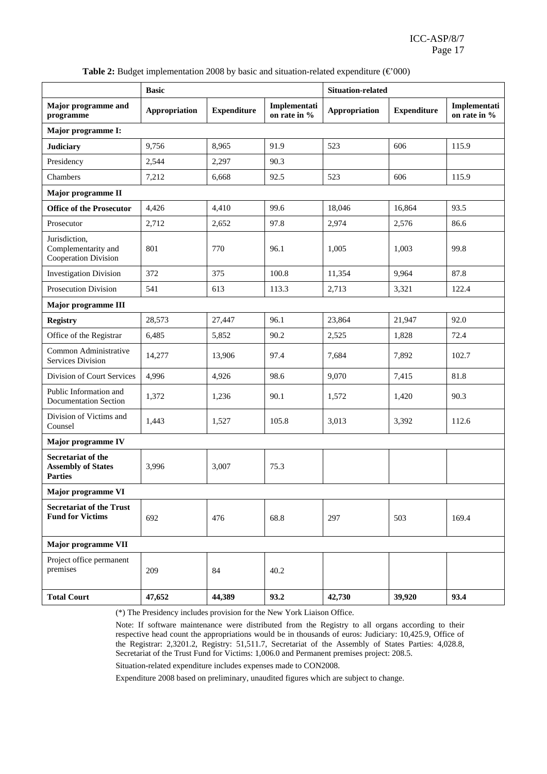|                                                                   | <b>Basic</b>  |                    |                              | <b>Situation-related</b> |                    |                              |
|-------------------------------------------------------------------|---------------|--------------------|------------------------------|--------------------------|--------------------|------------------------------|
| Major programme and<br>programme                                  | Appropriation | <b>Expenditure</b> | Implementati<br>on rate in % | <b>Appropriation</b>     | <b>Expenditure</b> | Implementati<br>on rate in % |
| Major programme I:                                                |               |                    |                              |                          |                    |                              |
| <b>Judiciary</b>                                                  | 9,756         | 8,965              | 91.9                         | 523                      | 606                | 115.9                        |
| Presidency                                                        | 2,544         | 2,297              | 90.3                         |                          |                    |                              |
| Chambers                                                          | 7,212         | 6,668              | 92.5                         | 523                      | 606                | 115.9                        |
| Major programme II                                                |               |                    |                              |                          |                    |                              |
| <b>Office of the Prosecutor</b>                                   | 4,426         | 4,410              | 99.6                         | 18,046                   | 16,864             | 93.5                         |
| Prosecutor                                                        | 2,712         | 2,652              | 97.8                         | 2,974                    | 2,576              | 86.6                         |
| Jurisdiction,<br>Complementarity and<br>Cooperation Division      | 801           | 770                | 96.1                         | 1,005                    | 1,003              | 99.8                         |
| <b>Investigation Division</b>                                     | 372           | 375                | 100.8                        | 11,354                   | 9,964              | 87.8                         |
| Prosecution Division                                              | 541           | 613                | 113.3                        | 2,713                    | 3,321              | 122.4                        |
| Major programme III                                               |               |                    |                              |                          |                    |                              |
| <b>Registry</b>                                                   | 28,573        | 27,447             | 96.1                         | 23,864                   | 21,947             | 92.0                         |
| Office of the Registrar                                           | 6,485         | 5,852              | 90.2                         | 2,525                    | 1,828              | 72.4                         |
| Common Administrative<br>Services Division                        | 14,277        | 13,906             | 97.4                         | 7,684                    | 7,892              | 102.7                        |
| Division of Court Services                                        | 4,996         | 4,926              | 98.6                         | 9,070                    | 7,415              | 81.8                         |
| Public Information and<br><b>Documentation Section</b>            | 1,372         | 1,236              | 90.1                         | 1,572                    | 1,420              | 90.3                         |
| Division of Victims and<br>Counsel                                | 1,443         | 1,527              | 105.8                        | 3,013                    | 3,392              | 112.6                        |
| Major programme IV                                                |               |                    |                              |                          |                    |                              |
| Secretariat of the<br><b>Assembly of States</b><br><b>Parties</b> | 3,996         | 3,007              | 75.3                         |                          |                    |                              |
| Major programme VI                                                |               |                    |                              |                          |                    |                              |
| <b>Secretariat of the Trust</b><br><b>Fund for Victims</b>        | 692           | 476                | 68.8                         | 297                      | 503                | 169.4                        |
| Major programme VII                                               |               |                    |                              |                          |                    |                              |
| Project office permanent<br>premises                              | 209           | 84                 | 40.2                         |                          |                    |                              |
| <b>Total Court</b>                                                | 47,652        | 44,389             | 93.2                         | 42,730                   | 39,920             | 93.4                         |

**Table 2:** Budget implementation 2008 by basic and situation-related expenditure ( $\epsilon$ 000)

(\*) The Presidency includes provision for the New York Liaison Office.

Note: If software maintenance were distributed from the Registry to all organs according to their respective head count the appropriations would be in thousands of euros: Judiciary: 10,425.9, Office of the Registrar: 2,3201.2, Registry: 51,511.7, Secretariat of the Assembly of States Parties: 4,028.8, Secretariat of the Trust Fund for Victims: 1,006.0 and Permanent premises project: 208.5.

Situation-related expenditure includes expenses made to CON2008.

Expenditure 2008 based on preliminary, unaudited figures which are subject to change.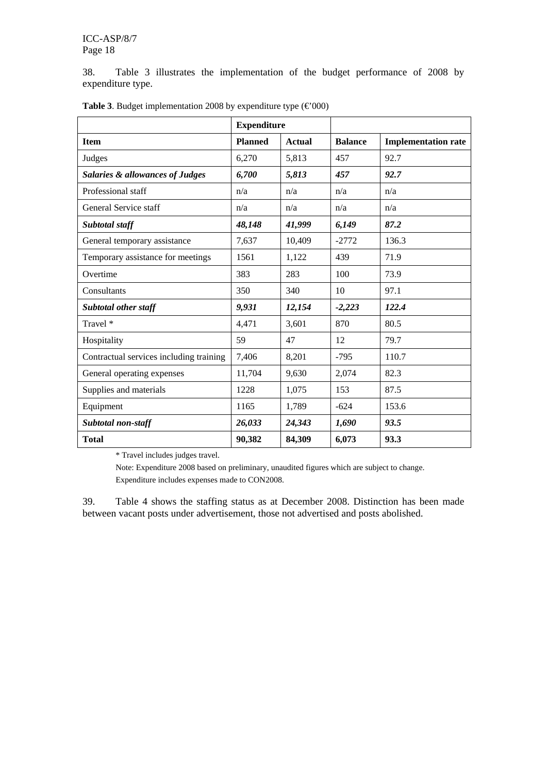38. Table 3 illustrates the implementation of the budget performance of 2008 by expenditure type.

|                                            | <b>Expenditure</b> |               |                |                            |
|--------------------------------------------|--------------------|---------------|----------------|----------------------------|
| <b>Item</b>                                | <b>Planned</b>     | <b>Actual</b> | <b>Balance</b> | <b>Implementation rate</b> |
| Judges                                     | 6,270              | 5,813         | 457            | 92.7                       |
| <b>Salaries &amp; allowances of Judges</b> | 6,700              | 5,813         | 457            | 92.7                       |
| Professional staff                         | n/a                | n/a           | n/a            | n/a                        |
| General Service staff                      | n/a                | n/a           | n/a            | n/a                        |
| Subtotal staff                             | 48,148             | 41,999        | 6,149          | 87.2                       |
| General temporary assistance               | 7,637              | 10,409        | $-2772$        | 136.3                      |
| Temporary assistance for meetings          | 1561               | 1,122         | 439            | 71.9                       |
| Overtime                                   | 383                | 283           | 100            | 73.9                       |
| Consultants                                | 350                | 340           | 10             | 97.1                       |
| <b>Subtotal other staff</b>                | 9,931              | 12,154        | $-2,223$       | 122.4                      |
| Travel *                                   | 4,471              | 3,601         | 870            | 80.5                       |
| Hospitality                                | 59                 | 47            | 12             | 79.7                       |
| Contractual services including training    | 7,406              | 8,201         | $-795$         | 110.7                      |
| General operating expenses                 | 11,704             | 9,630         | 2,074          | 82.3                       |
| Supplies and materials                     | 1228               | 1,075         | 153            | 87.5                       |
| Equipment                                  | 1165               | 1,789         | $-624$         | 153.6                      |
| <b>Subtotal non-staff</b>                  | 26,033             | 24,343        | 1,690          | 93.5                       |
| <b>Total</b>                               | 90,382             | 84,309        | 6,073          | 93.3                       |

**Table 3**. Budget implementation 2008 by expenditure type  $(\text{\textsterling}000)$ 

\* Travel includes judges travel.

Note: Expenditure 2008 based on preliminary, unaudited figures which are subject to change. Expenditure includes expenses made to CON2008.

39. Table 4 shows the staffing status as at December 2008. Distinction has been made between vacant posts under advertisement, those not advertised and posts abolished.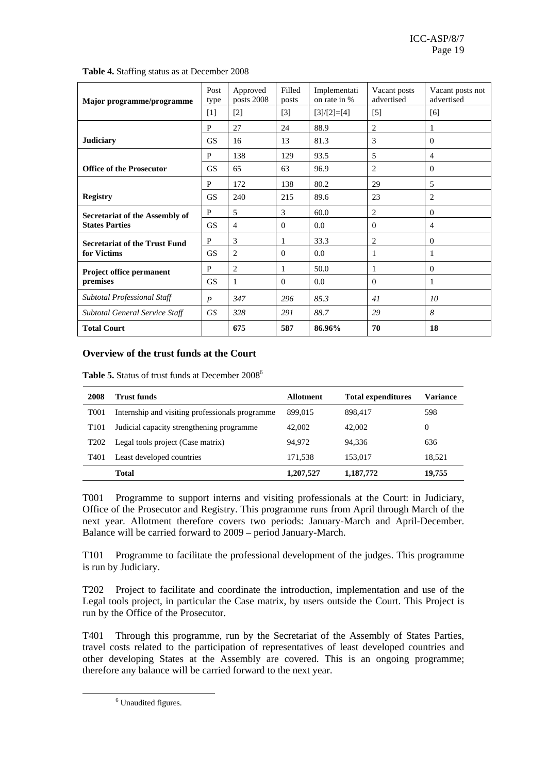| Major programme/programme             | Post<br>type     | Approved<br>posts 2008 | Filled<br>posts | Implementati<br>on rate in % | Vacant posts<br>advertised | Vacant posts not<br>advertised |
|---------------------------------------|------------------|------------------------|-----------------|------------------------------|----------------------------|--------------------------------|
|                                       | $[1]$            | $[2]$                  | $[3]$           | $[3]/[2]=[4]$                | $[5]$                      | [6]                            |
|                                       | P                | 27                     | 24              | 88.9                         | $\overline{c}$             | 1                              |
| <b>Judiciary</b>                      | <b>GS</b>        | 16                     | 13              | 81.3                         | 3                          | $\Omega$                       |
|                                       | P                | 138                    | 129             | 93.5                         | 5                          | $\overline{4}$                 |
| <b>Office of the Prosecutor</b>       | <b>GS</b>        | 65                     | 63              | 96.9                         | 2                          | $\Omega$                       |
|                                       | P                | 172                    | 138             | 80.2                         | 29                         | 5                              |
| <b>Registry</b>                       | <b>GS</b>        | 240                    | 215             | 89.6                         | 23                         | $\overline{2}$                 |
| Secretariat of the Assembly of        | P                | 5                      | 3               | 60.0                         | 2                          | $\theta$                       |
| <b>States Parties</b>                 | <b>GS</b>        | $\overline{4}$         | $\Omega$        | 0.0                          | $\theta$                   | $\overline{4}$                 |
| <b>Secretariat of the Trust Fund</b>  | P                | 3                      | 1               | 33.3                         | $\overline{c}$             | $\Omega$                       |
| for Victims                           | <b>GS</b>        | $\overline{2}$         | $\Omega$        | 0.0                          | 1                          | 1                              |
| Project office permanent              | P                | $\overline{2}$         | 1               | 50.0                         | 1                          | $\theta$                       |
| premises                              | <b>GS</b>        | 1                      | $\Omega$        | 0.0                          | $\theta$                   | 1                              |
| Subtotal Professional Staff           | $\boldsymbol{P}$ | 347                    | 296             | 85.3                         | 41                         | 10                             |
| <b>Subtotal General Service Staff</b> | GS               | 328                    | 291             | 88.7                         | 29                         | 8                              |
| <b>Total Court</b>                    |                  | 675                    | 587             | 86.96%                       | 70                         | 18                             |

**Table 4.** Staffing status as at December 2008

#### **Overview of the trust funds at the Court**

Table 5. Status of trust funds at December 2008<sup>6</sup>

| 2008             | Trust funds                                     | <b>Allotment</b> | <b>Total expenditures</b> | Variance |
|------------------|-------------------------------------------------|------------------|---------------------------|----------|
| T <sub>001</sub> | Internship and visiting professionals programme | 899,015          | 898,417                   | 598      |
| T <sub>101</sub> | Judicial capacity strengthening programme       | 42,002           | 42,002                    | 0        |
| T <sub>202</sub> | Legal tools project (Case matrix)               | 94.972           | 94.336                    | 636      |
| T <sub>401</sub> | Least developed countries                       | 171.538          | 153.017                   | 18.521   |
|                  | <b>Total</b>                                    | 1,207,527        | 1,187,772                 | 19,755   |

T001 Programme to support interns and visiting professionals at the Court: in Judiciary, Office of the Prosecutor and Registry. This programme runs from April through March of the next year. Allotment therefore covers two periods: January-March and April-December. Balance will be carried forward to 2009 – period January-March.

T101 Programme to facilitate the professional development of the judges. This programme is run by Judiciary.

T202 Project to facilitate and coordinate the introduction, implementation and use of the Legal tools project, in particular the Case matrix, by users outside the Court. This Project is run by the Office of the Prosecutor.

T401 Through this programme, run by the Secretariat of the Assembly of States Parties, travel costs related to the participation of representatives of least developed countries and other developing States at the Assembly are covered. This is an ongoing programme; therefore any balance will be carried forward to the next year.

 $\overline{6}$ <sup>6</sup> Unaudited figures.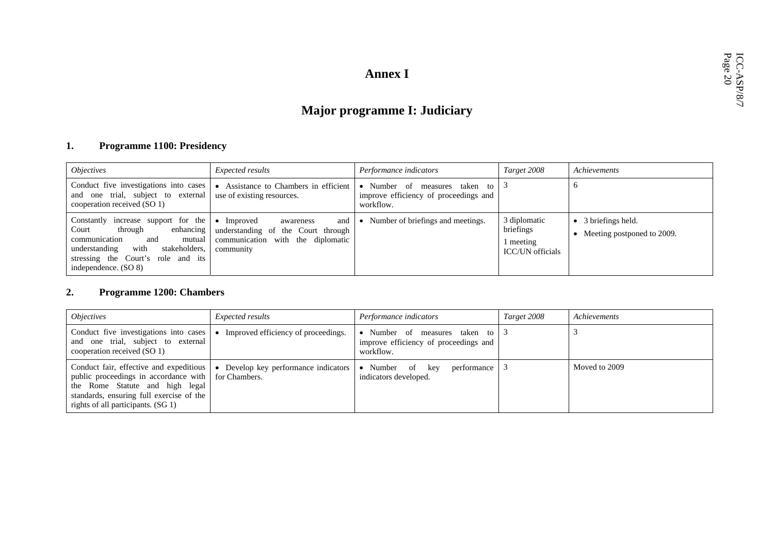# Annex I<br> **Annex I<br>
Major programme I: Judiciary**<br>  $\begin{array}{c}\n\stackrel{\text{d}}{\approx} 575 \\
\stackrel{\text{d}}{\approx} 575 \\
\stackrel{\text{d}}{\approx} 575\n\end{array}$

#### **1. Programme 1100: Presidency**

| <i><b>Objectives</b></i>                                                                                                                                                                                       | <i>Expected results</i>                                                                                                           | Performance indicators                                                                   | Target 2008                                                       | Achievements                                    |
|----------------------------------------------------------------------------------------------------------------------------------------------------------------------------------------------------------------|-----------------------------------------------------------------------------------------------------------------------------------|------------------------------------------------------------------------------------------|-------------------------------------------------------------------|-------------------------------------------------|
| Conduct five investigations into cases<br>one trial, subject to external<br>and<br>cooperation received (SO 1)                                                                                                 | Assistance to Chambers in efficient<br>$\bullet$<br>use of existing resources.                                                    | • Number of measures<br>taken to 3<br>improve efficiency of proceedings and<br>workflow. |                                                                   |                                                 |
| Constantly increase support for the<br>enhancing<br>through<br>Court<br>communication<br>and<br>mutual<br>with<br>stakeholders.<br>understanding<br>stressing the Court's role and its<br>independence. (SO 8) | Improved<br>$\bullet$<br>and<br>awareness<br>understanding of the Court through<br>communication with the diplomatic<br>community | • Number of briefings and meetings.                                                      | 3 diplomatic<br>briefings<br>l meeting<br><b>ICC/UN</b> officials | 3 briefings held.<br>Meeting postponed to 2009. |

#### **2. Programme 1200: Chambers**

| <i><b>Objectives</b></i>                                                                                                                                                                              | <i>Expected results</i>                                          | Performance indicators                                                              | Target 2008 | Achievements  |
|-------------------------------------------------------------------------------------------------------------------------------------------------------------------------------------------------------|------------------------------------------------------------------|-------------------------------------------------------------------------------------|-------------|---------------|
| Conduct five investigations into cases<br>and one trial, subject to external<br>cooperation received (SO 1)                                                                                           | Improved efficiency of proceedings.                              | • Number of measures taken to<br>improve efficiency of proceedings and<br>workflow. |             |               |
| Conduct fair, effective and expeditious<br>public proceedings in accordance with<br>the Rome Statute and high legal<br>standards, ensuring full exercise of the<br>rights of all participants. (SG 1) | Develop key performance indicators<br>$\bullet$<br>for Chambers. | • Number of<br>performance<br>key<br>indicators developed.                          |             | Moved to 2009 |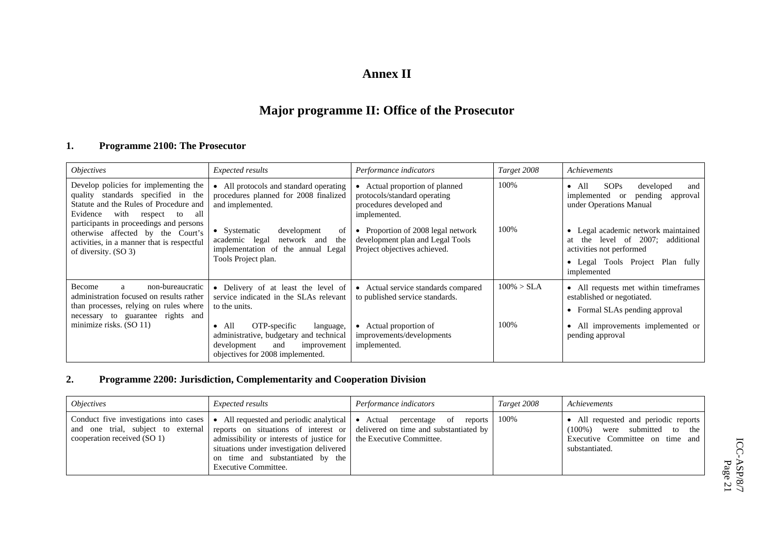#### **Annex II**

## **Major programme II: Office of the Prosecutor**

#### **1. Programme 2100: The Prosecutor**

| <i>Objectives</i>                                                                                                                                                                     | Expected results                                                                                                                                                                                                                                                    | Performance indicators                                                                                                                    | Target 2008           | Achievements                                                                                                                                                  |
|---------------------------------------------------------------------------------------------------------------------------------------------------------------------------------------|---------------------------------------------------------------------------------------------------------------------------------------------------------------------------------------------------------------------------------------------------------------------|-------------------------------------------------------------------------------------------------------------------------------------------|-----------------------|---------------------------------------------------------------------------------------------------------------------------------------------------------------|
| Develop policies for implementing the<br>quality standards specified in the<br>Statute and the Rules of Procedure and<br>with<br>Evidence<br>all<br>respect<br>to                     | All protocols and standard operating<br>procedures planned for 2008 finalized<br>and implemented.                                                                                                                                                                   | Actual proportion of planned<br>protocols/standard operating<br>procedures developed and<br>implemented.                                  | 100%                  | <b>SOPs</b><br>$\bullet$ All<br>developed<br>and<br>pending<br>implemented<br>approval<br><sub>or</sub><br>under Operations Manual                            |
| participants in proceedings and persons<br>otherwise affected by the Court's<br>activities, in a manner that is respectful<br>of diversity. (SO 3)                                    | development<br>of<br>• Systematic<br>network and<br>the<br>academic legal<br>implementation of the annual Legal<br>Tools Project plan.                                                                                                                              | Proportion of 2008 legal network<br>development plan and Legal Tools<br>Project objectives achieved.                                      | 100%                  | • Legal academic network maintained<br>at the level of 2007; additional<br>activities not performed<br>• Legal Tools Project Plan<br>fully<br>implemented     |
| Become<br>non-bureaucratic<br>a<br>administration focused on results rather<br>than processes, relying on rules where<br>necessary to guarantee rights and<br>minimize risks. (SO 11) | • Delivery of at least the level of<br>service indicated in the SLAs relevant<br>to the units.<br>OTP-specific<br>All<br>language,<br>$\bullet$<br>administrative, budgetary and technical<br>development<br>and<br>improvement<br>objectives for 2008 implemented. | Actual service standards compared<br>to published service standards.<br>Actual proportion of<br>improvements/developments<br>implemented. | $100\% > SLA$<br>100% | • All requests met within timeframes<br>established or negotiated.<br>• Formal SLAs pending approval<br>• All improvements implemented or<br>pending approval |

#### **2. Programme 2200: Jurisdiction, Complementarity and Cooperation Division**

| <i><b>Objectives</b></i>                                                                                    | <i>Expected results</i>                                                                                                                                                    | Performance indicators                                                                                                                              | Target 2008 | Achievements                                                                                                                    |
|-------------------------------------------------------------------------------------------------------------|----------------------------------------------------------------------------------------------------------------------------------------------------------------------------|-----------------------------------------------------------------------------------------------------------------------------------------------------|-------------|---------------------------------------------------------------------------------------------------------------------------------|
| Conduct five investigations into cases<br>and one trial, subject to external<br>cooperation received (SO 1) | admissibility or interests of justice for the Executive Committee.<br>situations under investigation delivered<br>on time and substantiated by the<br>Executive Committee. | All requested and periodic analytical • Actual percentage of reports<br>reports on situations of interest or delivered on time and substantiated by | 100%        | • All requested and periodic reports<br>were submitted to the<br>$(100\%)$<br>Executive Committee on time and<br>substantiated. |

ICC-ASP/8/7  $\frac{\text{ICC-ASP/8/7}}{\text{Page 21}}$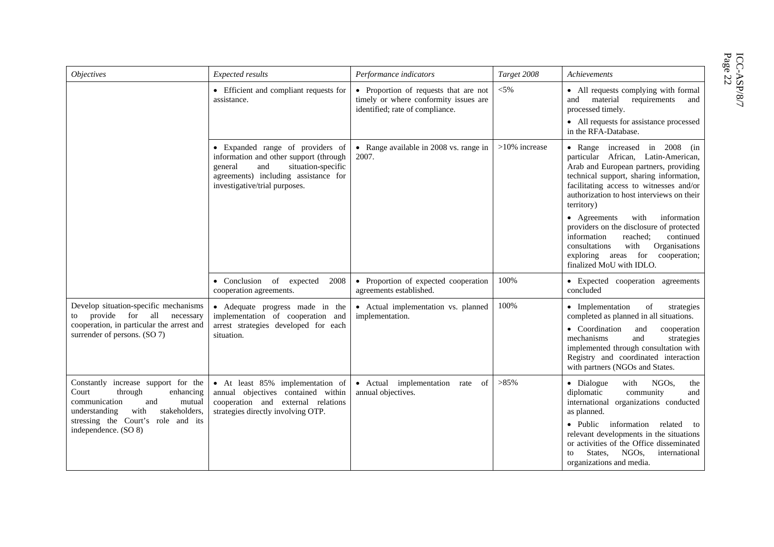| ٥<br>ΰā<br>õ | פ<br>C |
|--------------|--------|
|              |        |

| <i><b>Objectives</b></i>                                                                                                                                                                                       | Expected results                                                                                                                                                                            | Performance indicators                                                                                            | Target 2008      | Achievements                                                                                                                                                                                                                                                                                                                                              |
|----------------------------------------------------------------------------------------------------------------------------------------------------------------------------------------------------------------|---------------------------------------------------------------------------------------------------------------------------------------------------------------------------------------------|-------------------------------------------------------------------------------------------------------------------|------------------|-----------------------------------------------------------------------------------------------------------------------------------------------------------------------------------------------------------------------------------------------------------------------------------------------------------------------------------------------------------|
|                                                                                                                                                                                                                | • Efficient and compliant requests for<br>assistance.                                                                                                                                       | • Proportion of requests that are not<br>timely or where conformity issues are<br>identified; rate of compliance. | $< 5\%$          | • All requests complying with formal<br>and material<br>requirements<br>and<br>processed timely.<br>• All requests for assistance processed<br>in the RFA-Database.                                                                                                                                                                                       |
|                                                                                                                                                                                                                | • Expanded range of providers of<br>information and other support (through<br>situation-specific<br>and<br>general<br>agreements) including assistance for<br>investigative/trial purposes. | • Range available in 2008 vs. range in<br>2007.                                                                   | $>10\%$ increase | • Range increased in 2008 (in<br>particular African, Latin-American,<br>Arab and European partners, providing<br>technical support, sharing information,<br>facilitating access to witnesses and/or<br>authorization to host interviews on their<br>territory)                                                                                            |
|                                                                                                                                                                                                                |                                                                                                                                                                                             |                                                                                                                   |                  | • Agreements<br>with<br>information<br>providers on the disclosure of protected<br>information<br>continued<br>reached:<br>Organisations<br>consultations<br>with<br>exploring areas for<br>cooperation;<br>finalized MoU with IDLO.                                                                                                                      |
|                                                                                                                                                                                                                | • Conclusion of expected<br>2008<br>cooperation agreements.                                                                                                                                 | • Proportion of expected cooperation<br>agreements established.                                                   | 100%             | • Expected cooperation agreements<br>concluded                                                                                                                                                                                                                                                                                                            |
| Develop situation-specific mechanisms<br>provide for all<br>necessary<br>to<br>cooperation, in particular the arrest and<br>surrender of persons. (SO 7)                                                       | • Adequate progress made in the<br>implementation of cooperation and<br>arrest strategies developed for each<br>situation.                                                                  | • Actual implementation vs. planned<br>implementation.                                                            | 100%             | • Implementation<br>of<br>strategies<br>completed as planned in all situations.<br>• Coordination<br>and<br>cooperation<br>mechanisms<br>strategies<br>and<br>implemented through consultation with<br>Registry and coordinated interaction<br>with partners (NGOs and States.                                                                            |
| Constantly increase support for the<br>Court<br>through<br>enhancing<br>mutual<br>communication<br>and<br>stakeholders,<br>understanding<br>with<br>stressing the Court's role and its<br>independence. (SO 8) | • At least 85% implementation of<br>annual objectives contained within<br>cooperation and external relations<br>strategies directly involving OTP.                                          | • Actual implementation rate of<br>annual objectives.                                                             | $>85\%$          | • Dialogue<br>with<br>NGO <sub>s</sub><br>the<br>diplomatic<br>community<br>and<br>international organizations conducted<br>as planned.<br>• Public information<br>related<br>to<br>relevant developments in the situations<br>or activities of the Office disseminated<br>States.<br>NGO <sub>s</sub><br>international<br>to<br>organizations and media. |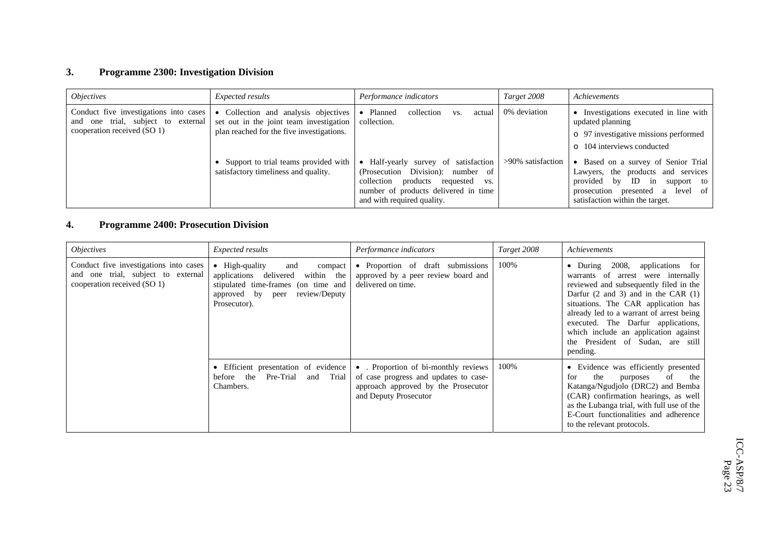#### **3. Programme 2300: Investigation Division**

| <i>Objectives</i>                                                                                              | <i>Expected results</i>                                                                                                    | Performance indicators                                                                                                                                                                     | Target 2008       | Achievements                                                                                                                                                                                  |
|----------------------------------------------------------------------------------------------------------------|----------------------------------------------------------------------------------------------------------------------------|--------------------------------------------------------------------------------------------------------------------------------------------------------------------------------------------|-------------------|-----------------------------------------------------------------------------------------------------------------------------------------------------------------------------------------------|
| Conduct five investigations into cases<br>one trial, subject to external<br>and<br>cooperation received (SO 1) | Collection and analysis objectives<br>set out in the joint team investigation<br>plan reached for the five investigations. | collection<br>• Planned<br>actual<br>VS.<br>collection.                                                                                                                                    | 0% deviation      | • Investigations executed in line with<br>updated planning<br>o 97 investigative missions performed<br>$\circ$ 104 interviews conducted                                                       |
|                                                                                                                | Support to trial teams provided with<br>satisfactory timeliness and quality.                                               | • Half-yearly survey of satisfaction<br>Division: number of<br>(Prosecution)<br>collection<br>products requested vs.<br>number of products delivered in time<br>and with required quality. | >90% satisfaction | • Based on a survey of Senior Trial<br>Lawyers, the products and services<br>ID in<br>provided<br>$-$ by<br>support to<br>prosecution presented a level of<br>satisfaction within the target. |

#### **4. Programme 2400: Prosecution Division**

| <i>Objectives</i>                                                                                           | Expected results                                                                                                                                                                | Performance indicators                                                                                                                      | Target 2008 | Achievements                                                                                                                                                                                                                                                                                                                                                                           |
|-------------------------------------------------------------------------------------------------------------|---------------------------------------------------------------------------------------------------------------------------------------------------------------------------------|---------------------------------------------------------------------------------------------------------------------------------------------|-------------|----------------------------------------------------------------------------------------------------------------------------------------------------------------------------------------------------------------------------------------------------------------------------------------------------------------------------------------------------------------------------------------|
| Conduct five investigations into cases<br>and one trial, subject to external<br>cooperation received (SO 1) | $\bullet$ High-quality<br>and<br>compact<br>delivered<br>applications<br>within the<br>stipulated time-frames (on time and<br>review/Deputy<br>approved by peer<br>Prosecutor). | • Proportion of draft submissions<br>approved by a peer review board and<br>delivered on time.                                              | 100%        | 2008,<br>applications for<br>$\bullet$ During<br>warrants of arrest were internally<br>reviewed and subsequently filed in the<br>Darfur (2 and 3) and in the CAR (1)<br>situations. The CAR application has<br>already led to a warrant of arrest being<br>executed. The Darfur applications,<br>which include an application against<br>the President of Sudan, are still<br>pending. |
|                                                                                                             | • Efficient presentation of evidence<br>Pre-Trial<br>and Trial<br>the<br>before<br>Chambers.                                                                                    | • Proportion of bi-monthly reviews<br>of case progress and updates to case-<br>approach approved by the Prosecutor<br>and Deputy Prosecutor | 100%        | • Evidence was efficiently presented<br>of<br>the<br>the<br>for<br>purposes<br>Katanga/Ngudjolo (DRC2) and Bemba<br>(CAR) confirmation hearings, as well<br>as the Lubanga trial, with full use of the<br>E-Court functionalities and adherence<br>to the relevant protocols.                                                                                                          |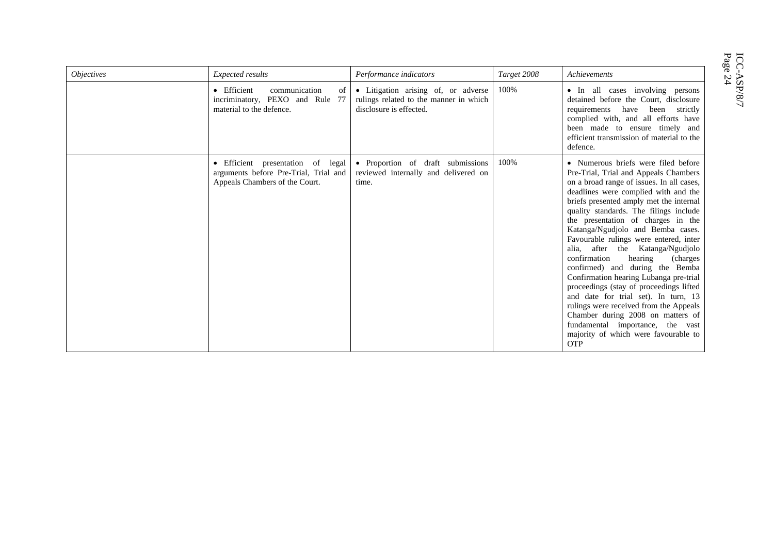| <i><b>Objectives</b></i> | Expected results                                                                                             | Performance indicators                                                                                   | Target 2008 | Achievements                                                                                                                                                                                                                                                                                                                                                                                                                                                                                                                                                                                                                                                                                                                                                                                     |
|--------------------------|--------------------------------------------------------------------------------------------------------------|----------------------------------------------------------------------------------------------------------|-------------|--------------------------------------------------------------------------------------------------------------------------------------------------------------------------------------------------------------------------------------------------------------------------------------------------------------------------------------------------------------------------------------------------------------------------------------------------------------------------------------------------------------------------------------------------------------------------------------------------------------------------------------------------------------------------------------------------------------------------------------------------------------------------------------------------|
|                          | • Efficient<br>communication<br>of<br>incriminatory, PEXO and Rule<br>-77<br>material to the defence.        | • Litigation arising of, or adverse<br>rulings related to the manner in which<br>disclosure is effected. | 100%        | • In all cases involving persons<br>detained before the Court, disclosure<br>requirements have been strictly<br>complied with, and all efforts have<br>been made to ensure timely and<br>efficient transmission of material to the<br>defence.                                                                                                                                                                                                                                                                                                                                                                                                                                                                                                                                                   |
|                          | • Efficient presentation of legal<br>arguments before Pre-Trial, Trial and<br>Appeals Chambers of the Court. | • Proportion of draft submissions<br>reviewed internally and delivered on<br>time.                       | 100%        | • Numerous briefs were filed before<br>Pre-Trial, Trial and Appeals Chambers<br>on a broad range of issues. In all cases,<br>deadlines were complied with and the<br>briefs presented amply met the internal<br>quality standards. The filings include<br>the presentation of charges in the<br>Katanga/Ngudjolo and Bemba cases.<br>Favourable rulings were entered, inter<br>alia, after the Katanga/Ngudjolo<br>confirmation<br>hearing<br>(charges)<br>confirmed) and during the Bemba<br>Confirmation hearing Lubanga pre-trial<br>proceedings (stay of proceedings lifted<br>and date for trial set). In turn, 13<br>rulings were received from the Appeals<br>Chamber during 2008 on matters of<br>fundamental importance, the vast<br>majority of which were favourable to<br><b>OTP</b> |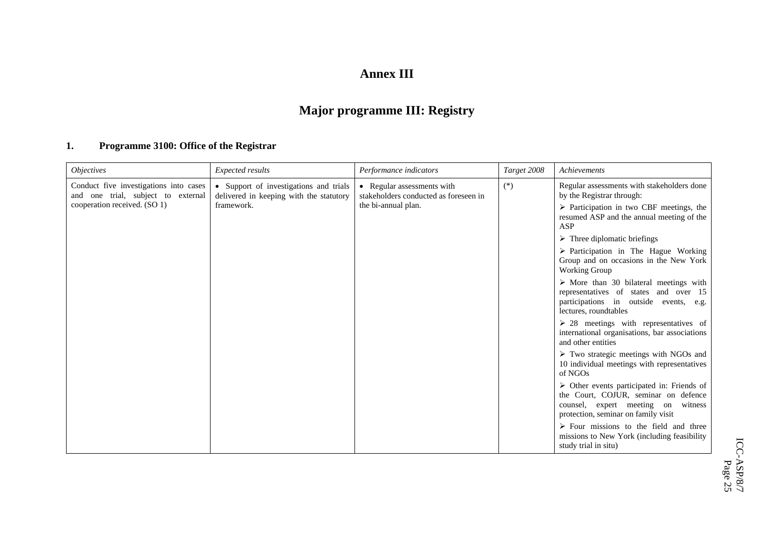#### **Annex III**

## **Major programme III: Registry**

#### **1. Programme 3100: Office of the Registrar**

| <i><b>Objectives</b></i>                                                     | Expected results                                                                  | Performance indicators                                              | Target 2008 | Achievements                                                                                                                                                                      |
|------------------------------------------------------------------------------|-----------------------------------------------------------------------------------|---------------------------------------------------------------------|-------------|-----------------------------------------------------------------------------------------------------------------------------------------------------------------------------------|
| Conduct five investigations into cases<br>and one trial, subject to external | • Support of investigations and trials<br>delivered in keeping with the statutory | • Regular assessments with<br>stakeholders conducted as foreseen in | $(*)$       | Regular assessments with stakeholders done<br>by the Registrar through:                                                                                                           |
| cooperation received. (SO 1)                                                 | framework.                                                                        | the bi-annual plan.                                                 |             | $\triangleright$ Participation in two CBF meetings, the<br>resumed ASP and the annual meeting of the<br><b>ASP</b>                                                                |
|                                                                              |                                                                                   |                                                                     |             | $\triangleright$ Three diplomatic briefings                                                                                                                                       |
|                                                                              |                                                                                   |                                                                     |             | $\triangleright$ Participation in The Hague Working<br>Group and on occasions in the New York<br>Working Group                                                                    |
|                                                                              |                                                                                   |                                                                     |             | $\triangleright$ More than 30 bilateral meetings with<br>representatives of states and over 15<br>participations in outside events, e.g.<br>lectures, roundtables                 |
|                                                                              |                                                                                   |                                                                     |             | $\geq 28$ meetings with representatives of<br>international organisations, bar associations<br>and other entities                                                                 |
|                                                                              |                                                                                   |                                                                     |             | $\triangleright$ Two strategic meetings with NGOs and<br>10 individual meetings with representatives<br>of NGOs                                                                   |
|                                                                              |                                                                                   |                                                                     |             | $\triangleright$ Other events participated in: Friends of<br>the Court, COJUR, seminar on defence<br>counsel, expert meeting on<br>witness<br>protection, seminar on family visit |
|                                                                              |                                                                                   |                                                                     |             | $\triangleright$ Four missions to the field and three<br>missions to New York (including feasibility<br>study trial in situ)                                                      |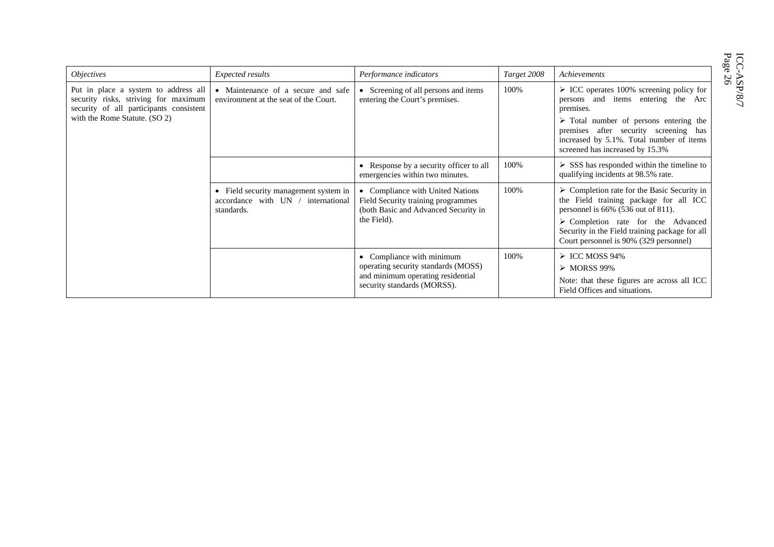| age |        |
|-----|--------|
|     | ¢<br>מ |
|     |        |

| <i><b>Objectives</b></i>                                                                                                                                 | Expected results                                                                          | Performance indicators                                                                                                                          | Target 2008 | Achievements                                                                                                                                                                                                                                                                                   |
|----------------------------------------------------------------------------------------------------------------------------------------------------------|-------------------------------------------------------------------------------------------|-------------------------------------------------------------------------------------------------------------------------------------------------|-------------|------------------------------------------------------------------------------------------------------------------------------------------------------------------------------------------------------------------------------------------------------------------------------------------------|
| Put in place a system to address all<br>security risks, striving for maximum<br>security of all participants consistent<br>with the Rome Statute. (SO 2) | • Maintenance of a secure and safe<br>environment at the seat of the Court.               | • Screening of all persons and items<br>entering the Court's premises.                                                                          | 100%        | $\triangleright$ ICC operates 100% screening policy for<br>persons and items entering the Arc<br>premises.<br>$\triangleright$ Total number of persons entering the<br>premises after security screening has<br>increased by 5.1%. Total number of items<br>screened has increased by 15.3%    |
|                                                                                                                                                          |                                                                                           | Response by a security officer to all<br>emergencies within two minutes.                                                                        | 100%        | $\triangleright$ SSS has responded within the timeline to<br>qualifying incidents at 98.5% rate.                                                                                                                                                                                               |
|                                                                                                                                                          | • Field security management system in<br>accordance with UN / international<br>standards. | • Compliance with United Nations<br>Field Security training programmes<br>(both Basic and Advanced Security in<br>the Field).                   | 100%        | $\triangleright$ Completion rate for the Basic Security in<br>the Field training package for all ICC<br>personnel is $66\%$ (536 out of 811).<br>$\triangleright$ Completion rate for the Advanced<br>Security in the Field training package for all<br>Court personnel is 90% (329 personnel) |
|                                                                                                                                                          |                                                                                           | Compliance with minimum<br>$\bullet$<br>operating security standards (MOSS)<br>and minimum operating residential<br>security standards (MORSS). | 100%        | $\triangleright$ ICC MOSS 94%<br>$\triangleright$ MORSS 99%<br>Note: that these figures are across all ICC<br>Field Offices and situations.                                                                                                                                                    |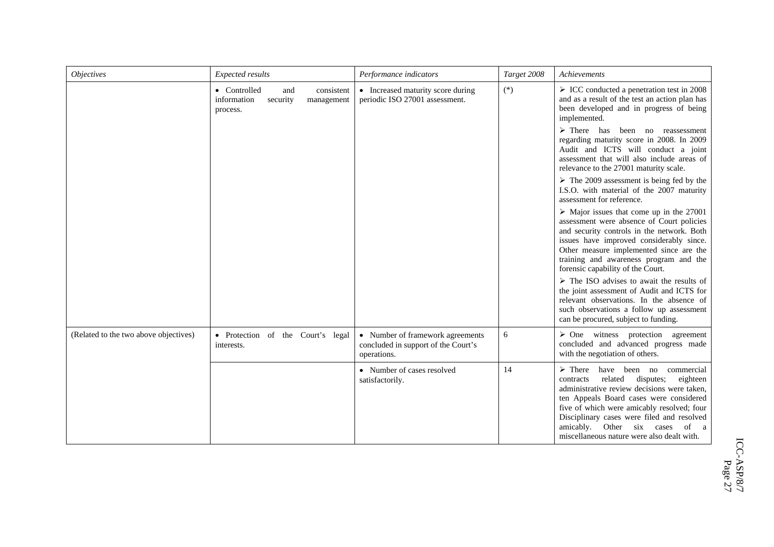| <i>Objectives</i>                     | Expected results                                                                       | Performance indicators                                                                 | Target 2008 | Achievements                                                                                                                                                                                                                                                                                                                                                                   |
|---------------------------------------|----------------------------------------------------------------------------------------|----------------------------------------------------------------------------------------|-------------|--------------------------------------------------------------------------------------------------------------------------------------------------------------------------------------------------------------------------------------------------------------------------------------------------------------------------------------------------------------------------------|
|                                       | • Controlled<br>consistent<br>and<br>information<br>security<br>management<br>process. | • Increased maturity score during<br>periodic ISO 27001 assessment.                    | $(*)$       | $\triangleright$ ICC conducted a penetration test in 2008<br>and as a result of the test an action plan has<br>been developed and in progress of being<br>implemented.                                                                                                                                                                                                         |
|                                       |                                                                                        |                                                                                        |             | $\triangleright$ There has been no reassessment<br>regarding maturity score in 2008. In 2009<br>Audit and ICTS will conduct a joint<br>assessment that will also include areas of<br>relevance to the 27001 maturity scale.                                                                                                                                                    |
|                                       |                                                                                        |                                                                                        |             | $\triangleright$ The 2009 assessment is being fed by the<br>I.S.O. with material of the 2007 maturity<br>assessment for reference.                                                                                                                                                                                                                                             |
|                                       |                                                                                        |                                                                                        |             | $\triangleright$ Major issues that come up in the 27001<br>assessment were absence of Court policies<br>and security controls in the network. Both<br>issues have improved considerably since.<br>Other measure implemented since are the<br>training and awareness program and the<br>forensic capability of the Court.                                                       |
|                                       |                                                                                        |                                                                                        |             | $\triangleright$ The ISO advises to await the results of<br>the joint assessment of Audit and ICTS for<br>relevant observations. In the absence of<br>such observations a follow up assessment<br>can be procured, subject to funding.                                                                                                                                         |
| (Related to the two above objectives) | · Protection of the Court's legal<br>interests.                                        | • Number of framework agreements<br>concluded in support of the Court's<br>operations. | 6           | $\triangleright$ One witness protection agreement<br>concluded and advanced progress made<br>with the negotiation of others.                                                                                                                                                                                                                                                   |
|                                       |                                                                                        | • Number of cases resolved<br>satisfactorily.                                          | 14          | $\triangleright$ There<br>have been no<br>commercial<br>related<br>disputes;<br>eighteen<br>contracts<br>administrative review decisions were taken,<br>ten Appeals Board cases were considered<br>five of which were amicably resolved; four<br>Disciplinary cases were filed and resolved<br>amicably. Other six cases<br>of a<br>miscellaneous nature were also dealt with. |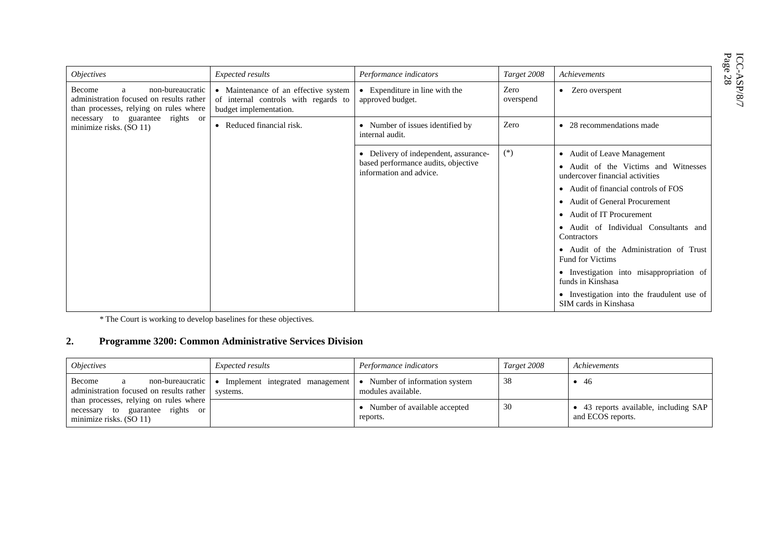| gg<br>õ |        |
|---------|--------|
|         | Ç<br>פ |
|         |        |

| <i>Objectives</i>                                                                                                     | <b>Expected results</b>                                                                                | Performance indicators                                                                                  | Target 2008       | Achievements                                                            |                                                               |
|-----------------------------------------------------------------------------------------------------------------------|--------------------------------------------------------------------------------------------------------|---------------------------------------------------------------------------------------------------------|-------------------|-------------------------------------------------------------------------|---------------------------------------------------------------|
| non-bureaucratic<br>Become<br>a<br>administration focused on results rather<br>than processes, relying on rules where | • Maintenance of an effective system<br>of internal controls with regards to<br>budget implementation. | • Expenditure in line with the<br>approved budget.                                                      | Zero<br>overspend | • Zero overspent                                                        |                                                               |
| guarantee rights or<br>necessary to<br>minimize risks. (SO 11)                                                        | • Reduced financial risk.                                                                              | • Number of issues identified by<br>internal audit.                                                     | Zero              | $\bullet$ 28 recommendations made                                       |                                                               |
|                                                                                                                       |                                                                                                        | • Delivery of independent, assurance-<br>based performance audits, objective<br>information and advice. | $(*)$             | • Audit of Leave Management                                             |                                                               |
|                                                                                                                       |                                                                                                        |                                                                                                         |                   | • Audit of the Victims and Witnesses<br>undercover financial activities |                                                               |
|                                                                                                                       |                                                                                                        |                                                                                                         |                   | • Audit of financial controls of FOS                                    |                                                               |
|                                                                                                                       |                                                                                                        |                                                                                                         |                   | • Audit of General Procurement                                          |                                                               |
|                                                                                                                       |                                                                                                        |                                                                                                         |                   | • Audit of IT Procurement                                               |                                                               |
|                                                                                                                       |                                                                                                        |                                                                                                         |                   | • Audit of Individual Consultants and<br>Contractors                    |                                                               |
|                                                                                                                       |                                                                                                        |                                                                                                         |                   | • Audit of the Administration of Trust<br><b>Fund for Victims</b>       |                                                               |
|                                                                                                                       |                                                                                                        |                                                                                                         |                   |                                                                         | · Investigation into misappropriation of<br>funds in Kinshasa |
|                                                                                                                       |                                                                                                        |                                                                                                         |                   | • Investigation into the fraudulent use of<br>SIM cards in Kinshasa     |                                                               |

*\** The Court is working to develop baselines for these objectives*.*

#### **2. Programme 3200: Common Administrative Services Division**

| <i><b>Objectives</b></i>                                                                                 | <i>Expected results</i>                     | Performance indicators                             | Target 2008 | Achievements                                               |
|----------------------------------------------------------------------------------------------------------|---------------------------------------------|----------------------------------------------------|-------------|------------------------------------------------------------|
| Become<br>non-bureaucratic $\bullet$<br>a<br>administration focused on results rather                    | Implement integrated management<br>systems. | Number of information system<br>modules available. | 38          | - 46                                                       |
| than processes, relying on rules where<br>guarantee rights or<br>necessary to<br>minimize risks. (SO 11) |                                             | Number of available accepted<br>reports.           | 30          | • 43 reports available, including SAP<br>and ECOS reports. |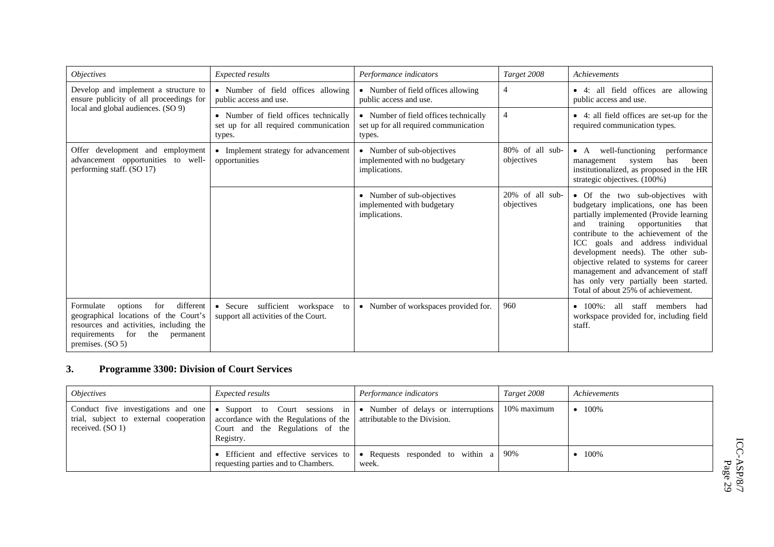| <i><b>Objectives</b></i>                                                                                                                                                                     | Expected results                                                                         | Performance indicators                                                                   | Target 2008                   | Achievements                                                                                                                                                                                                                                                                                                                                                                                                                                       |
|----------------------------------------------------------------------------------------------------------------------------------------------------------------------------------------------|------------------------------------------------------------------------------------------|------------------------------------------------------------------------------------------|-------------------------------|----------------------------------------------------------------------------------------------------------------------------------------------------------------------------------------------------------------------------------------------------------------------------------------------------------------------------------------------------------------------------------------------------------------------------------------------------|
| Develop and implement a structure to<br>ensure publicity of all proceedings for                                                                                                              | • Number of field offices allowing<br>public access and use.                             | • Number of field offices allowing<br>public access and use.                             | $\overline{4}$                | • 4: all field offices are allowing<br>public access and use.                                                                                                                                                                                                                                                                                                                                                                                      |
| local and global audiences. (SO 9)                                                                                                                                                           | • Number of field offices technically<br>set up for all required communication<br>types. | • Number of field offices technically<br>set up for all required communication<br>types. | $\overline{4}$                | • 4: all field offices are set-up for the<br>required communication types.                                                                                                                                                                                                                                                                                                                                                                         |
| Offer development and employment<br>advancement opportunities to well-<br>performing staff. (SO 17)                                                                                          | • Implement strategy for advancement<br>opportunities                                    | • Number of sub-objectives<br>implemented with no budgetary<br>implications.             | 80% of all sub-<br>objectives | well-functioning<br>performance<br>$\bullet$ A<br>has<br>been<br>system<br>management<br>institutionalized, as proposed in the HR<br>strategic objectives. (100%)                                                                                                                                                                                                                                                                                  |
|                                                                                                                                                                                              |                                                                                          | • Number of sub-objectives<br>implemented with budgetary<br>implications.                | 20% of all sub-<br>objectives | • Of the two sub-objectives with<br>budgetary implications, one has been<br>partially implemented (Provide learning<br>training<br>opportunities<br>and<br>that<br>contribute to the achievement of the<br>ICC goals and address individual<br>development needs). The other sub-<br>objective related to systems for career<br>management and advancement of staff<br>has only very partially been started.<br>Total of about 25% of achievement. |
| different<br>Formulate<br>options<br>for<br>geographical locations of the Court's<br>resources and activities, including the<br>for<br>the<br>requirements<br>permanent<br>premises. $(SO5)$ | • Secure sufficient workspace<br>to<br>support all activities of the Court.              | • Number of workspaces provided for.                                                     | 960                           | all staff members had<br>$\bullet$ 100%:<br>workspace provided for, including field<br>staff.                                                                                                                                                                                                                                                                                                                                                      |

#### **3. Programme 3300: Division of Court Services**

| <i><b>Objectives</b></i> | <i>Expected results</i>                                                                                                                                      | Performance indicators                                                                                                 | Target 2008 | Achievements |
|--------------------------|--------------------------------------------------------------------------------------------------------------------------------------------------------------|------------------------------------------------------------------------------------------------------------------------|-------------|--------------|
| received. $(SO 1)$       | trial, subject to external cooperation accordance with the Regulations of the attributable to the Division.<br>Court and the Regulations of the<br>Registry. | Conduct five investigations and one $\bullet$ Support to Court sessions in $\bullet$ Number of delays or interruptions | 10% maximum | 100%         |
|                          | requesting parties and to Chambers.                                                                                                                          | Efficient and effective services to $\bullet$ Requests responded to within a   90%<br>week.                            |             | 100%         |

ICC-ASP/8/7  $\text{ICC-ASP/S/7} \ \text{Page 29}$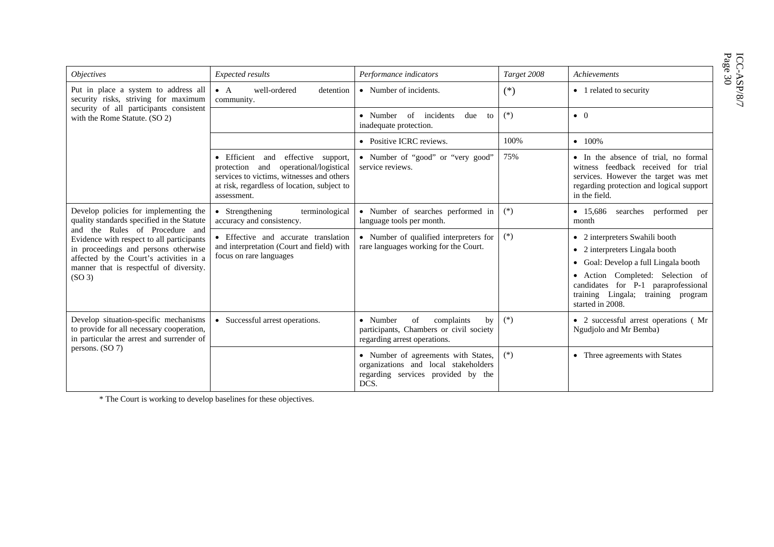$\begin{array}{lcl} &\text{ICC-ASP/8/} \\ &\text{Page 30} \end{array}$ 

| <i><b>Objectives</b></i>                                                                                                                                                                                                                                                                                               | Expected results                                                                                                                                                                          | Performance indicators                                                                                                    | Target 2008 | <b>Achievements</b>                                                                                                                                                                                                                           |
|------------------------------------------------------------------------------------------------------------------------------------------------------------------------------------------------------------------------------------------------------------------------------------------------------------------------|-------------------------------------------------------------------------------------------------------------------------------------------------------------------------------------------|---------------------------------------------------------------------------------------------------------------------------|-------------|-----------------------------------------------------------------------------------------------------------------------------------------------------------------------------------------------------------------------------------------------|
| Put in place a system to address all<br>security risks, striving for maximum                                                                                                                                                                                                                                           | $\bullet$ A<br>well-ordered<br>detention<br>community.                                                                                                                                    | • Number of incidents.                                                                                                    | $(*)$       | • 1 related to security                                                                                                                                                                                                                       |
| security of all participants consistent<br>with the Rome Statute. (SO 2)                                                                                                                                                                                                                                               |                                                                                                                                                                                           | • Number of incidents<br>due<br>to<br>inadequate protection.                                                              | $(*)$       | $\bullet$ 0                                                                                                                                                                                                                                   |
|                                                                                                                                                                                                                                                                                                                        |                                                                                                                                                                                           | • Positive ICRC reviews.                                                                                                  | 100%        | $\bullet$ 100%                                                                                                                                                                                                                                |
|                                                                                                                                                                                                                                                                                                                        | • Efficient and<br>effective support,<br>protection and operational/logistical<br>services to victims, witnesses and others<br>at risk, regardless of location, subject to<br>assessment. | • Number of "good" or "very good"<br>service reviews.                                                                     | 75%         | • In the absence of trial, no formal<br>witness feedback received for trial<br>services. However the target was met<br>regarding protection and logical support<br>in the field.                                                              |
| Develop policies for implementing the<br>quality standards specified in the Statute<br>and the Rules of Procedure and<br>Evidence with respect to all participants<br>in proceedings and persons otherwise<br>affected by the Court's activities in a<br>manner that is respectful of diversity.<br>(SO <sub>3</sub> ) | • Strengthening<br>terminological<br>accuracy and consistency.                                                                                                                            | • Number of searches performed in<br>language tools per month.                                                            | $(*)$       | • 15,686 searches performed per<br>month                                                                                                                                                                                                      |
|                                                                                                                                                                                                                                                                                                                        | • Effective and accurate translation<br>and interpretation (Court and field) with<br>focus on rare languages                                                                              | • Number of qualified interpreters for<br>rare languages working for the Court.                                           | $(*)$       | • 2 interpreters Swahili booth<br>• 2 interpreters Lingala booth<br>• Goal: Develop a full Lingala booth<br>• Action Completed: Selection of<br>candidates for P-1 paraprofessional<br>training Lingala; training program<br>started in 2008. |
| Develop situation-specific mechanisms<br>to provide for all necessary cooperation,<br>in particular the arrest and surrender of<br>persons. (SO 7)                                                                                                                                                                     | • Successful arrest operations.                                                                                                                                                           | • Number<br>of<br>complaints<br>by<br>participants, Chambers or civil society<br>regarding arrest operations.             | $(*)$       | • 2 successful arrest operations (Mr<br>Ngudjolo and Mr Bemba)                                                                                                                                                                                |
|                                                                                                                                                                                                                                                                                                                        |                                                                                                                                                                                           | • Number of agreements with States,<br>organizations and local stakeholders<br>regarding services provided by the<br>DCS. | $(*)$       | • Three agreements with States                                                                                                                                                                                                                |

\* The Court is working to develop baselines for these objectives.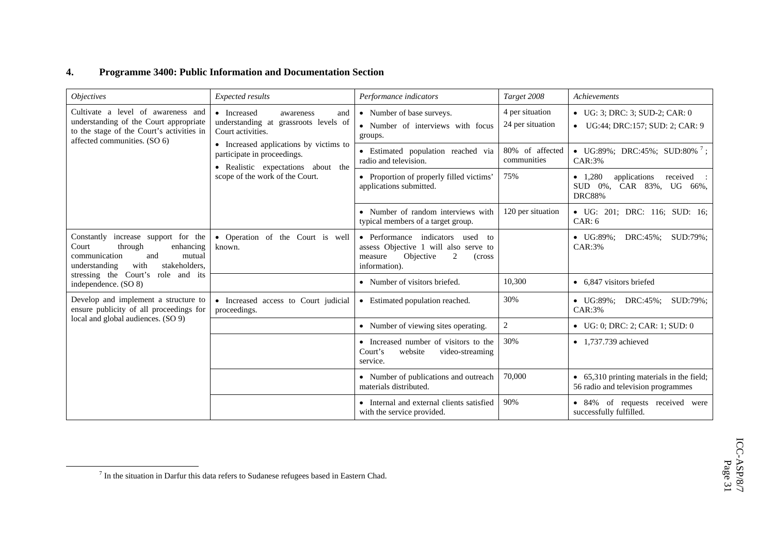#### **4. Programme 3400: Public Information and Documentation Section**

| <i><b>Objectives</b></i>                                                                                                                                  | Expected results                                                                                            | Performance indicators                                                                                                                | Target 2008                         | Achievements                                                                       |
|-----------------------------------------------------------------------------------------------------------------------------------------------------------|-------------------------------------------------------------------------------------------------------------|---------------------------------------------------------------------------------------------------------------------------------------|-------------------------------------|------------------------------------------------------------------------------------|
| Cultivate a level of awareness and<br>understanding of the Court appropriate<br>to the stage of the Court's activities in<br>affected communities. (SO 6) | • Increased<br>awareness<br>and<br>understanding at grassroots levels of<br>Court activities.               | • Number of base surveys.<br>• Number of interviews with focus<br>groups.                                                             | 4 per situation<br>24 per situation | $\bullet$ UG: 3; DRC: 3; SUD-2; CAR: 0<br>• UG:44; DRC:157; SUD: 2; CAR: 9         |
|                                                                                                                                                           | • Increased applications by victims to<br>participate in proceedings.<br>• Realistic expectations about the | • Estimated population reached via<br>radio and television.                                                                           | 80% of affected<br>communities      | • UG:89%; DRC:45%; SUD:80% ';<br>CAR:3%                                            |
|                                                                                                                                                           | scope of the work of the Court.                                                                             | • Proportion of properly filled victims'<br>applications submitted.                                                                   | 75%                                 | • $1,280$<br>applications<br>received<br>SUD 0%, CAR 83%, UG 66%,<br><b>DRC88%</b> |
|                                                                                                                                                           |                                                                                                             | • Number of random interviews with<br>typical members of a target group.                                                              | 120 per situation                   | • UG: 201; DRC: 116; SUD: 16;<br>CAR: 6                                            |
| Constantly increase support for the<br>Court<br>through<br>enhancing<br>communication<br>and<br>mutual<br>with<br>stakeholders.<br>understanding          | • Operation of the Court is well<br>known.                                                                  | • Performance indicators used<br>to<br>assess Objective 1 will also serve to<br>Objective<br>2<br>measure<br>(cross)<br>information). |                                     | $\bullet$ UG:89%;<br>DRC:45%;<br>SUD:79%;<br>$CAR:3\%$                             |
| stressing the Court's role and its<br>independence. (SO 8)                                                                                                |                                                                                                             | • Number of visitors briefed.                                                                                                         | 10,300                              | • 6,847 visitors briefed                                                           |
| Develop and implement a structure to<br>ensure publicity of all proceedings for                                                                           | • Increased access to Court judicial<br>proceedings.                                                        | • Estimated population reached.                                                                                                       | 30%                                 | $\bullet$ UG:89%;<br>DRC:45%;<br>SUD:79%;<br>$CAR:3\%$                             |
| local and global audiences. (SO 9)                                                                                                                        |                                                                                                             | • Number of viewing sites operating.                                                                                                  | $\sqrt{2}$                          | • UG: 0; DRC: 2; CAR: 1; SUD: 0                                                    |
|                                                                                                                                                           |                                                                                                             | • Increased number of visitors to the<br>website<br>Court's<br>video-streaming<br>service.                                            | 30%                                 | $\bullet$ 1,737.739 achieved                                                       |
|                                                                                                                                                           |                                                                                                             | • Number of publications and outreach<br>materials distributed.                                                                       | 70,000                              | • 65,310 printing materials in the field;<br>56 radio and television programmes    |
|                                                                                                                                                           |                                                                                                             | • Internal and external clients satisfied<br>with the service provided.                                                               | 90%                                 | • 84% of requests received were<br>successfully fulfilled.                         |

 $^7$  In the situation in Darfur this data refers to Sudanese refugees based in Eastern Chad.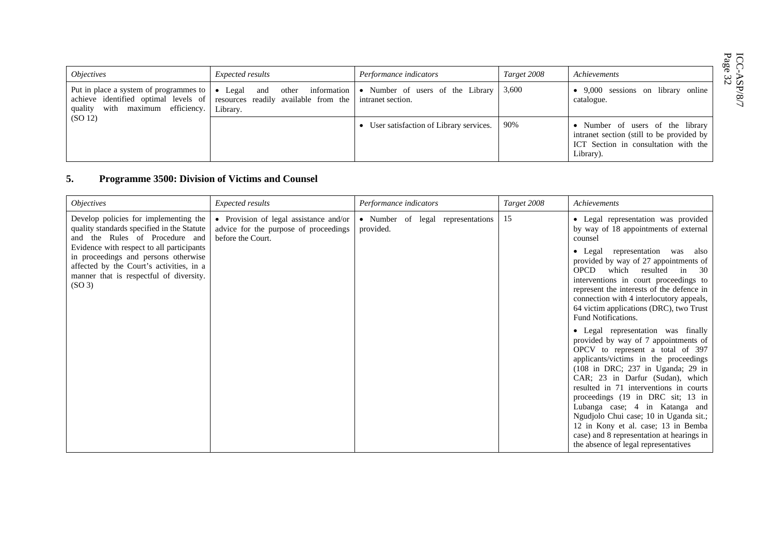$\begin{array}{lcl} &\text{ICC-ASP/8/} \\ &\text{Page 32} \end{array}$ 

| <i><b>Objectives</b></i>                                                   | <i>Expected results</i>                                                                                                                                                   | Performance indicators                 | Target 2008 | Achievements                                                                                                                       | ICC-<br>Page<br>ω D       |
|----------------------------------------------------------------------------|---------------------------------------------------------------------------------------------------------------------------------------------------------------------------|----------------------------------------|-------------|------------------------------------------------------------------------------------------------------------------------------------|---------------------------|
| Put in place a system of programmes to<br>quality with maximum efficiency. | • Legal and other information • Number of users of the Library<br>achieve identified optimal levels of resources readily available from the intranet section.<br>Library. |                                        | 3,600       | • 9,000 sessions on library online<br>catalogue.                                                                                   | $\alpha$<br>ా<br>$\infty$ |
| (SO 12)                                                                    |                                                                                                                                                                           | User satisfaction of Library services. | 90%         | • Number of users of the library<br>intranet section (still to be provided by<br>ICT Section in consultation with the<br>Library). |                           |

#### **5. Programme 3500: Division of Victims and Counsel**

| <i><b>Objectives</b></i>                                                                                                                                                                       | Expected results                                                                                     | Performance indicators                         | Target 2008 | Achievements                                                                                                                                                                                                                                                                                                                                                                                                                                                                                                                                                                                                                                                                                                                                                                                                                                                 |
|------------------------------------------------------------------------------------------------------------------------------------------------------------------------------------------------|------------------------------------------------------------------------------------------------------|------------------------------------------------|-------------|--------------------------------------------------------------------------------------------------------------------------------------------------------------------------------------------------------------------------------------------------------------------------------------------------------------------------------------------------------------------------------------------------------------------------------------------------------------------------------------------------------------------------------------------------------------------------------------------------------------------------------------------------------------------------------------------------------------------------------------------------------------------------------------------------------------------------------------------------------------|
| Develop policies for implementing the<br>quality standards specified in the Statute<br>and the Rules of Procedure and                                                                          | • Provision of legal assistance and/or<br>advice for the purpose of proceedings<br>before the Court. | • Number of legal representations<br>provided. | 15          | • Legal representation was provided<br>by way of 18 appointments of external<br>counsel                                                                                                                                                                                                                                                                                                                                                                                                                                                                                                                                                                                                                                                                                                                                                                      |
| Evidence with respect to all participants<br>in proceedings and persons otherwise<br>affected by the Court's activities, in a<br>manner that is respectful of diversity.<br>(SO <sub>3</sub> ) |                                                                                                      |                                                |             | • Legal representation<br>was<br>also<br>provided by way of 27 appointments of<br><b>OPCD</b><br>which<br>resulted in<br>- 30<br>interventions in court proceedings to<br>represent the interests of the defence in<br>connection with 4 interlocutory appeals,<br>64 victim applications (DRC), two Trust<br>Fund Notifications.<br>• Legal representation was finally<br>provided by way of 7 appointments of<br>OPCV to represent a total of 397<br>applicants/victims in the proceedings<br>(108 in DRC; 237 in Uganda; 29 in<br>CAR; 23 in Darfur (Sudan), which<br>resulted in 71 interventions in courts<br>proceedings (19 in DRC sit; 13 in<br>Lubanga case; 4 in Katanga and<br>Ngudjolo Chui case; 10 in Uganda sit.;<br>12 in Kony et al. case; 13 in Bemba<br>case) and 8 representation at hearings in<br>the absence of legal representatives |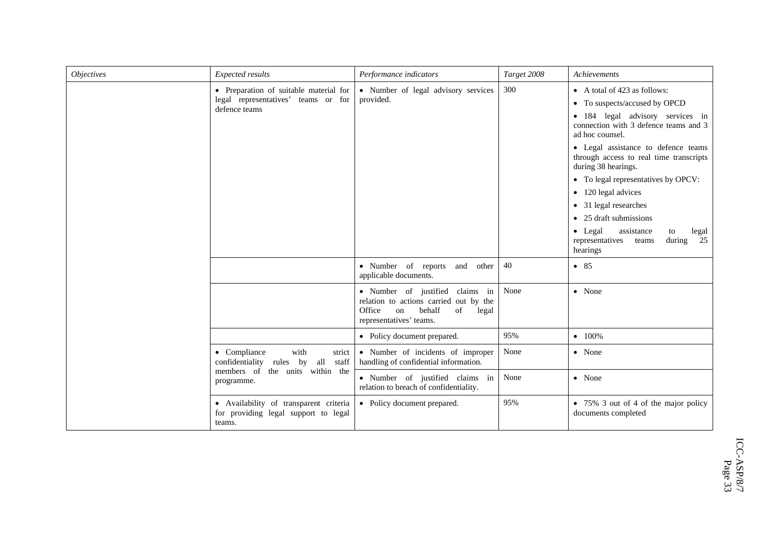| <b>Objectives</b> | Expected results                                                                               | Performance indicators                                                                                                                        | Target 2008 | Achievements                                                                                                                                                                                                                                                                                                                                                                                                                                                                                            |
|-------------------|------------------------------------------------------------------------------------------------|-----------------------------------------------------------------------------------------------------------------------------------------------|-------------|---------------------------------------------------------------------------------------------------------------------------------------------------------------------------------------------------------------------------------------------------------------------------------------------------------------------------------------------------------------------------------------------------------------------------------------------------------------------------------------------------------|
|                   | • Preparation of suitable material for<br>legal representatives' teams or for<br>defence teams | • Number of legal advisory services<br>provided.                                                                                              | 300         | • A total of 423 as follows:<br>• To suspects/accused by OPCD<br>· 184 legal advisory services in<br>connection with 3 defence teams and 3<br>ad hoc counsel.<br>• Legal assistance to defence teams<br>through access to real time transcripts<br>during 38 hearings.<br>• To legal representatives by OPCV:<br>• 120 legal advices<br>• 31 legal researches<br>$\bullet$ 25 draft submissions<br>$\bullet$ Legal<br>assistance<br>legal<br>to<br>during<br>25<br>representatives<br>teams<br>hearings |
|                   |                                                                                                | • Number of reports<br>and<br>other<br>applicable documents.                                                                                  | 40          | • 85                                                                                                                                                                                                                                                                                                                                                                                                                                                                                                    |
|                   |                                                                                                | · Number of justified claims in<br>relation to actions carried out by the<br>Office<br>behalf<br>of<br>on<br>legal<br>representatives' teams. | None        | • None                                                                                                                                                                                                                                                                                                                                                                                                                                                                                                  |
|                   |                                                                                                | • Policy document prepared.                                                                                                                   | 95%         | $-100%$                                                                                                                                                                                                                                                                                                                                                                                                                                                                                                 |
|                   | • Compliance<br>with<br>strict<br>confidentiality<br>by<br>all<br>staff<br>rules               | • Number of incidents of improper<br>handling of confidential information.                                                                    | None        | • None                                                                                                                                                                                                                                                                                                                                                                                                                                                                                                  |
|                   | members of the units within the<br>programme.                                                  | · Number of justified claims in<br>relation to breach of confidentiality.                                                                     | None        | • None                                                                                                                                                                                                                                                                                                                                                                                                                                                                                                  |
|                   | · Availability of transparent criteria<br>for providing legal support to legal<br>teams.       | • Policy document prepared.                                                                                                                   | 95%         | • 75% 3 out of 4 of the major policy<br>documents completed                                                                                                                                                                                                                                                                                                                                                                                                                                             |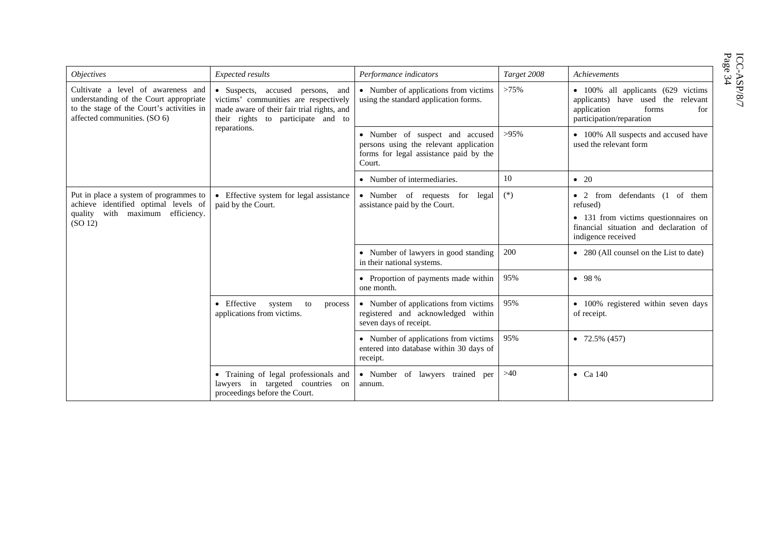$\begin{array}{lcl} \text{ICC-ASP/S/7} \\ \text{Page 34} \end{array}$ 

| <i><b>Objectives</b></i>                                                                                                                                  | Expected results                                                                                                                                                              | Performance indicators                                                                                                        | Target 2008 | Achievements                                                                                                                                       |
|-----------------------------------------------------------------------------------------------------------------------------------------------------------|-------------------------------------------------------------------------------------------------------------------------------------------------------------------------------|-------------------------------------------------------------------------------------------------------------------------------|-------------|----------------------------------------------------------------------------------------------------------------------------------------------------|
| Cultivate a level of awareness and<br>understanding of the Court appropriate<br>to the stage of the Court's activities in<br>affected communities. (SO 6) | • Suspects, accused persons, and<br>victims' communities are respectively<br>made aware of their fair trial rights, and<br>their rights to participate and to<br>reparations. | • Number of applications from victims<br>using the standard application forms.                                                | >75%        | • 100% all applicants (629 victims<br>applicants) have used the relevant<br>forms<br>application<br>for<br>participation/reparation                |
|                                                                                                                                                           |                                                                                                                                                                               | • Number of suspect and accused<br>persons using the relevant application<br>forms for legal assistance paid by the<br>Court. | $>95\%$     | • 100% All suspects and accused have<br>used the relevant form                                                                                     |
|                                                                                                                                                           |                                                                                                                                                                               | • Number of intermediaries.                                                                                                   | 10          | $\bullet$ 20                                                                                                                                       |
| Put in place a system of programmes to<br>achieve identified optimal levels of<br>with<br>maximum efficiency.<br>quality<br>(SO 12)                       | • Effective system for legal assistance<br>paid by the Court.                                                                                                                 | · Number of requests for legal<br>assistance paid by the Court.                                                               | $(*)$       | • 2 from defendants (1 of them<br>refused)<br>• 131 from victims questionnaires on<br>financial situation and declaration of<br>indigence received |
|                                                                                                                                                           |                                                                                                                                                                               | • Number of lawyers in good standing<br>in their national systems.                                                            | 200         | • 280 (All counsel on the List to date)                                                                                                            |
|                                                                                                                                                           |                                                                                                                                                                               | • Proportion of payments made within<br>one month.                                                                            | 95%         | • 98%                                                                                                                                              |
|                                                                                                                                                           | • Effective<br>system<br>to<br>process<br>applications from victims.                                                                                                          | • Number of applications from victims<br>registered and acknowledged within<br>seven days of receipt.                         | 95%         | • 100% registered within seven days<br>of receipt.                                                                                                 |
|                                                                                                                                                           |                                                                                                                                                                               | • Number of applications from victims<br>entered into database within 30 days of<br>receipt.                                  | 95%         | $\bullet$ 72.5% (457)                                                                                                                              |
|                                                                                                                                                           | • Training of legal professionals and<br>lawyers in targeted countries on<br>proceedings before the Court.                                                                    | • Number of lawyers trained per<br>annum.                                                                                     | >40         | $\bullet$ Ca 140                                                                                                                                   |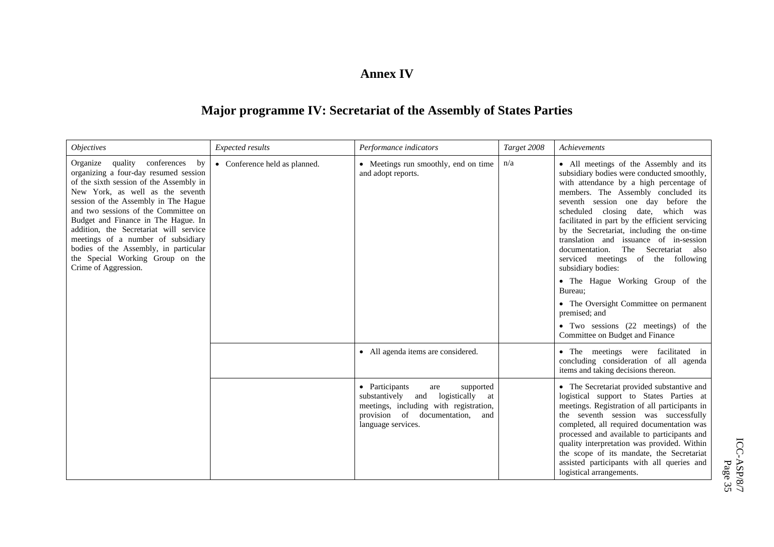#### **Annex IV**

## **Major programme IV: Secretariat of the Assembly of States Parties**

| <i>Objectives</i>                                                                                                                                                                                                                                                                                                                                                                                                                                                         | Expected results              | Performance indicators                                                                                                                                                                 | Target 2008 | Achievements                                                                                                                                                                                                                                                                                                                                                                                                                                                                                                                                                                                                                                                                         |
|---------------------------------------------------------------------------------------------------------------------------------------------------------------------------------------------------------------------------------------------------------------------------------------------------------------------------------------------------------------------------------------------------------------------------------------------------------------------------|-------------------------------|----------------------------------------------------------------------------------------------------------------------------------------------------------------------------------------|-------------|--------------------------------------------------------------------------------------------------------------------------------------------------------------------------------------------------------------------------------------------------------------------------------------------------------------------------------------------------------------------------------------------------------------------------------------------------------------------------------------------------------------------------------------------------------------------------------------------------------------------------------------------------------------------------------------|
| quality conferences<br>by<br>Organize<br>organizing a four-day resumed session<br>of the sixth session of the Assembly in<br>New York, as well as the seventh<br>session of the Assembly in The Hague<br>and two sessions of the Committee on<br>Budget and Finance in The Hague. In<br>addition, the Secretariat will service<br>meetings of a number of subsidiary<br>bodies of the Assembly, in particular<br>the Special Working Group on the<br>Crime of Aggression. | • Conference held as planned. | • Meetings run smoothly, end on time<br>and adopt reports.                                                                                                                             | n/a         | • All meetings of the Assembly and its<br>subsidiary bodies were conducted smoothly,<br>with attendance by a high percentage of<br>members. The Assembly concluded its<br>seventh session one day before the<br>scheduled closing date, which was<br>facilitated in part by the efficient servicing<br>by the Secretariat, including the on-time<br>translation and issuance of in-session<br>The Secretariat also<br>documentation.<br>serviced meetings of the following<br>subsidiary bodies:<br>• The Hague Working Group of the<br>Bureau:<br>• The Oversight Committee on permanent<br>premised; and<br>• Two sessions (22 meetings) of the<br>Committee on Budget and Finance |
|                                                                                                                                                                                                                                                                                                                                                                                                                                                                           |                               | • All agenda items are considered.                                                                                                                                                     |             | • The meetings were facilitated in<br>concluding consideration of all agenda<br>items and taking decisions thereon.                                                                                                                                                                                                                                                                                                                                                                                                                                                                                                                                                                  |
|                                                                                                                                                                                                                                                                                                                                                                                                                                                                           |                               | • Participants<br>supported<br>are<br>substantively<br>logistically<br>and<br>at<br>meetings, including with registration,<br>provision of documentation,<br>and<br>language services. |             | • The Secretariat provided substantive and<br>logistical support to States Parties at<br>meetings. Registration of all participants in<br>the seventh session was successfully<br>completed, all required documentation was<br>processed and available to participants and<br>quality interpretation was provided. Within<br>the scope of its mandate, the Secretariat<br>assisted participants with all queries and<br>logistical arrangements.                                                                                                                                                                                                                                     |

ICC-ASP/8/7  $\begin{array}{lcl} & \text{ICC-ASP/8/7} \\ & \text{Page 35} \end{array}$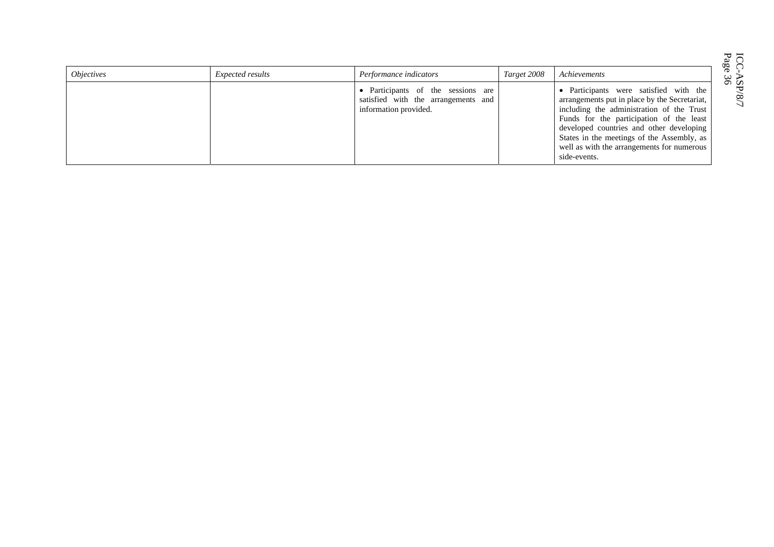| <i><b>Objectives</b></i> | Expected results | Performance indicators                                                                             | Target 2008 | Achievements                                                                                                                                                                                                                                                                                                                             |
|--------------------------|------------------|----------------------------------------------------------------------------------------------------|-------------|------------------------------------------------------------------------------------------------------------------------------------------------------------------------------------------------------------------------------------------------------------------------------------------------------------------------------------------|
|                          |                  | • Participants of the sessions are<br>satisfied with the arrangements and<br>information provided. |             | • Participants were satisfied with the<br>arrangements put in place by the Secretariat,<br>including the administration of the Trust<br>Funds for the participation of the least<br>developed countries and other developing<br>States in the meetings of the Assembly, as<br>well as with the arrangements for numerous<br>side-events. |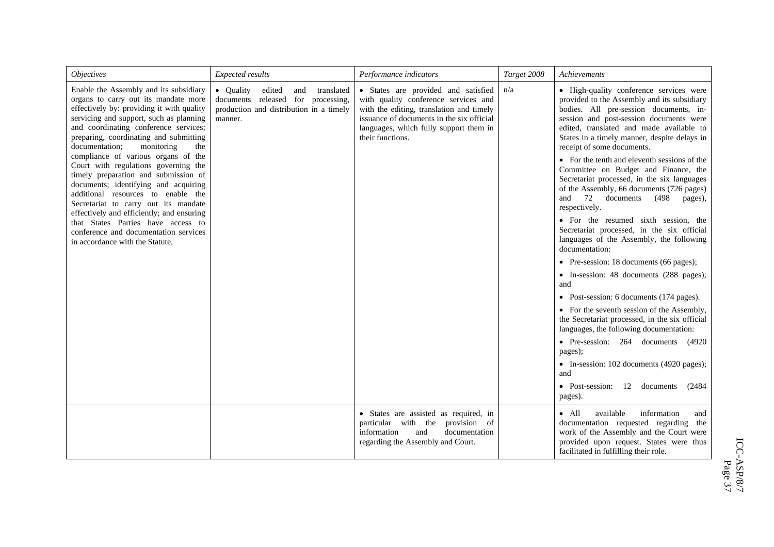| <i><b>Objectives</b></i>                                                                                                                                                                                                                                                                                                                                                                                                                                                                                                                                                                                                                                                                                     | Expected results                                                                                                                        | Performance indicators                                                                                                                                                                                                             | Target 2008 | Achievements                                                                                                                                                                                                                                                                                                                                                                                                                                                                                                                                                                                                                                                                                                                                                                                                                                                                                                                                                                                                                                                                                                                                                      |
|--------------------------------------------------------------------------------------------------------------------------------------------------------------------------------------------------------------------------------------------------------------------------------------------------------------------------------------------------------------------------------------------------------------------------------------------------------------------------------------------------------------------------------------------------------------------------------------------------------------------------------------------------------------------------------------------------------------|-----------------------------------------------------------------------------------------------------------------------------------------|------------------------------------------------------------------------------------------------------------------------------------------------------------------------------------------------------------------------------------|-------------|-------------------------------------------------------------------------------------------------------------------------------------------------------------------------------------------------------------------------------------------------------------------------------------------------------------------------------------------------------------------------------------------------------------------------------------------------------------------------------------------------------------------------------------------------------------------------------------------------------------------------------------------------------------------------------------------------------------------------------------------------------------------------------------------------------------------------------------------------------------------------------------------------------------------------------------------------------------------------------------------------------------------------------------------------------------------------------------------------------------------------------------------------------------------|
| Enable the Assembly and its subsidiary<br>organs to carry out its mandate more<br>effectively by: providing it with quality<br>servicing and support, such as planning<br>and coordinating conference services;<br>preparing, coordinating and submitting<br>documentation;<br>monitoring<br>the<br>compliance of various organs of the<br>Court with regulations governing the<br>timely preparation and submission of<br>documents; identifying and acquiring<br>additional resources to enable the<br>Secretariat to carry out its mandate<br>effectively and efficiently; and ensuring<br>that States Parties have access to<br>conference and documentation services<br>in accordance with the Statute. | • Quality<br>edited<br>and<br>translated<br>documents released for<br>processing,<br>production and distribution in a timely<br>manner. | · States are provided and satisfied<br>with quality conference services and<br>with the editing, translation and timely<br>issuance of documents in the six official<br>languages, which fully support them in<br>their functions. | n/a         | • High-quality conference services were<br>provided to the Assembly and its subsidiary<br>bodies. All pre-session documents, in-<br>session and post-session documents were<br>edited, translated and made available to<br>States in a timely manner, despite delays in<br>receipt of some documents.<br>• For the tenth and eleventh sessions of the<br>Committee on Budget and Finance, the<br>Secretariat processed, in the six languages<br>of the Assembly, 66 documents (726 pages)<br>and<br>72 documents<br>(498<br>pages),<br>respectively.<br>• For the resumed sixth session, the<br>Secretariat processed, in the six official<br>languages of the Assembly, the following<br>documentation:<br>• Pre-session: 18 documents (66 pages);<br>• In-session: 48 documents (288 pages);<br>and<br>Post-session: 6 documents (174 pages).<br>$\bullet$<br>• For the seventh session of the Assembly,<br>the Secretariat processed, in the six official<br>languages, the following documentation:<br>• Pre-session: 264 documents (4920<br>pages);<br>• In-session: 102 documents (4920 pages);<br>and<br>• Post-session: 12 documents<br>(2484)<br>pages). |
|                                                                                                                                                                                                                                                                                                                                                                                                                                                                                                                                                                                                                                                                                                              |                                                                                                                                         | · States are assisted as required, in<br>provision of<br>particular with the<br>information<br>and<br>documentation<br>regarding the Assembly and Court.                                                                           |             | available<br>information<br>$\bullet$ All<br>and<br>documentation requested regarding the<br>work of the Assembly and the Court were<br>provided upon request. States were thus<br>facilitated in fulfilling their role.                                                                                                                                                                                                                                                                                                                                                                                                                                                                                                                                                                                                                                                                                                                                                                                                                                                                                                                                          |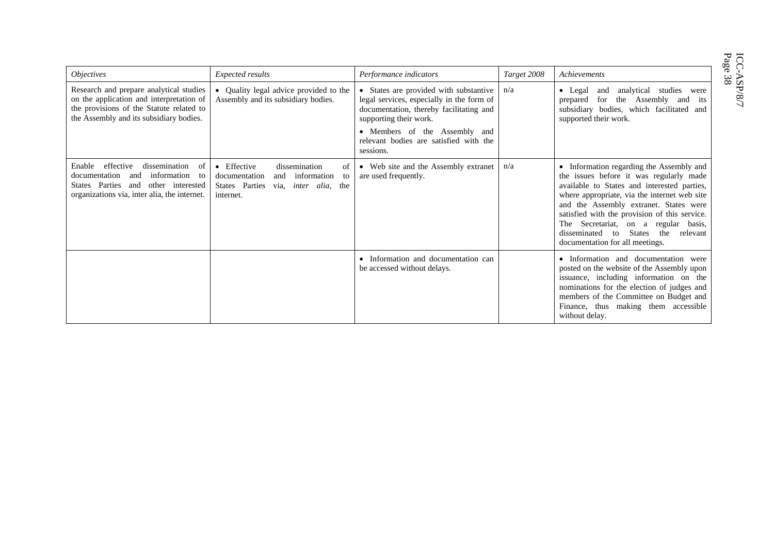| <i>Objectives</i>                                                                                                                                                                   | <b>Expected results</b>                                                                                                                        | Performance indicators                                                                                                                                                                                                                           | Target 2008 | Achievements                                                                                                                                                                                                                                                                                                                                                                                                       |
|-------------------------------------------------------------------------------------------------------------------------------------------------------------------------------------|------------------------------------------------------------------------------------------------------------------------------------------------|--------------------------------------------------------------------------------------------------------------------------------------------------------------------------------------------------------------------------------------------------|-------------|--------------------------------------------------------------------------------------------------------------------------------------------------------------------------------------------------------------------------------------------------------------------------------------------------------------------------------------------------------------------------------------------------------------------|
| Research and prepare analytical studies<br>on the application and interpretation of<br>the provisions of the Statute related to<br>the Assembly and its subsidiary bodies.          | • Quality legal advice provided to the<br>Assembly and its subsidiary bodies.                                                                  | • States are provided with substantive<br>legal services, especially in the form of<br>documentation, thereby facilitating and<br>supporting their work.<br>• Members of the Assembly and<br>relevant bodies are satisfied with the<br>sessions. | n/a         | analytical<br>studies<br>$\bullet$ Legal<br>and<br>were<br>the Assembly<br>for<br>prepared<br>and<br><i>its</i><br>subsidiary bodies, which facilitated and<br>supported their work.                                                                                                                                                                                                                               |
| effective<br>dissemination<br>Enable<br>- of<br>documentation<br>information to<br>and<br>States Parties<br>other interested<br>and<br>organizations via, inter alia, the internet. | • Effective<br>dissemination<br>Οİ<br>documentation<br>information<br>and<br>to<br>States Parties<br>via, <i>inter alia</i> , the<br>internet. | • Web site and the Assembly extranet<br>are used frequently.                                                                                                                                                                                     | n/a         | • Information regarding the Assembly and<br>the issues before it was regularly made<br>available to States and interested parties,<br>where appropriate, via the internet web site<br>and the Assembly extranet. States were<br>satisfied with the provision of this service.<br>The Secretariat, on a regular basis,<br><b>States</b><br>disseminated<br>the<br>relevant<br>to<br>documentation for all meetings. |
|                                                                                                                                                                                     |                                                                                                                                                | Information and documentation can<br>be accessed without delays.                                                                                                                                                                                 |             | • Information and documentation were<br>posted on the website of the Assembly upon<br>issuance, including information on the<br>nominations for the election of judges and<br>members of the Committee on Budget and<br>Finance, thus making them accessible<br>without delay.                                                                                                                                     |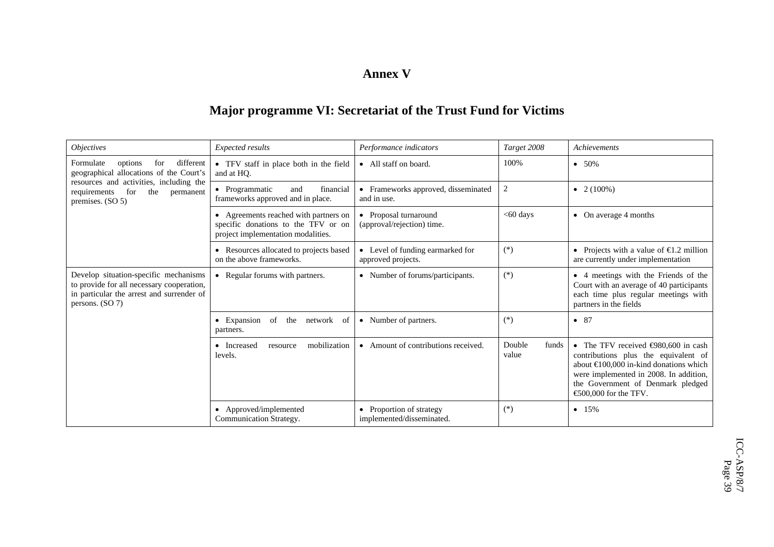#### **Annex V**

## **Major programme VI: Secretariat of the Trust Fund for Victims**

| <i><b>Objectives</b></i>                                                                                                                             | Expected results                                                                                                   | Performance indicators                                 | Target 2008              | Achievements                                                                                                                                                                                                                                                |
|------------------------------------------------------------------------------------------------------------------------------------------------------|--------------------------------------------------------------------------------------------------------------------|--------------------------------------------------------|--------------------------|-------------------------------------------------------------------------------------------------------------------------------------------------------------------------------------------------------------------------------------------------------------|
| different<br>Formulate<br>for<br>options<br>geographical allocations of the Court's                                                                  | • TFV staff in place both in the field<br>and at HO.                                                               | • All staff on board.                                  | 100%                     | $• 50\%$                                                                                                                                                                                                                                                    |
| resources and activities, including the<br>for<br>the<br>requirements<br>permanent<br>premises. (SO 5)                                               | • Programmatic<br>financial<br>and<br>frameworks approved and in place.                                            | • Frameworks approved, disseminated<br>and in use.     | 2                        | • $2(100%)$                                                                                                                                                                                                                                                 |
|                                                                                                                                                      | • Agreements reached with partners on<br>specific donations to the TFV or on<br>project implementation modalities. | • Proposal turnaround<br>(approval/rejection) time.    | $<$ 60 days              | • On average $4$ months                                                                                                                                                                                                                                     |
|                                                                                                                                                      | • Resources allocated to projects based<br>on the above frameworks.                                                | • Level of funding earmarked for<br>approved projects. | $(*)$                    | • Projects with a value of $\bigoplus$ 2 million<br>are currently under implementation                                                                                                                                                                      |
| Develop situation-specific mechanisms<br>to provide for all necessary cooperation,<br>in particular the arrest and surrender of<br>persons. $(SO 7)$ | • Regular forums with partners.                                                                                    | • Number of forums/participants.                       | $(*)$                    | • 4 meetings with the Friends of the<br>Court with an average of 40 participants<br>each time plus regular meetings with<br>partners in the fields                                                                                                          |
|                                                                                                                                                      | $\bullet$ Expansion<br>of<br>the<br>network<br>of<br>partners.                                                     | • Number of partners.                                  | $(*)$                    | $\bullet$ 87                                                                                                                                                                                                                                                |
|                                                                                                                                                      | mobilization<br>• Increased<br>resource<br>levels.                                                                 | • Amount of contributions received.                    | Double<br>funds<br>value | • The TFV received $\bigoplus 80,600$ in cash<br>contributions plus the equivalent of<br>about $\bigoplus$ 00,000 in-kind donations which<br>were implemented in 2008. In addition,<br>the Government of Denmark pledged<br>$\bigoplus$ 00.000 for the TFV. |
|                                                                                                                                                      | • Approved/implemented<br>Communication Strategy.                                                                  | • Proportion of strategy<br>implemented/disseminated.  | $(*)$                    | • 15%                                                                                                                                                                                                                                                       |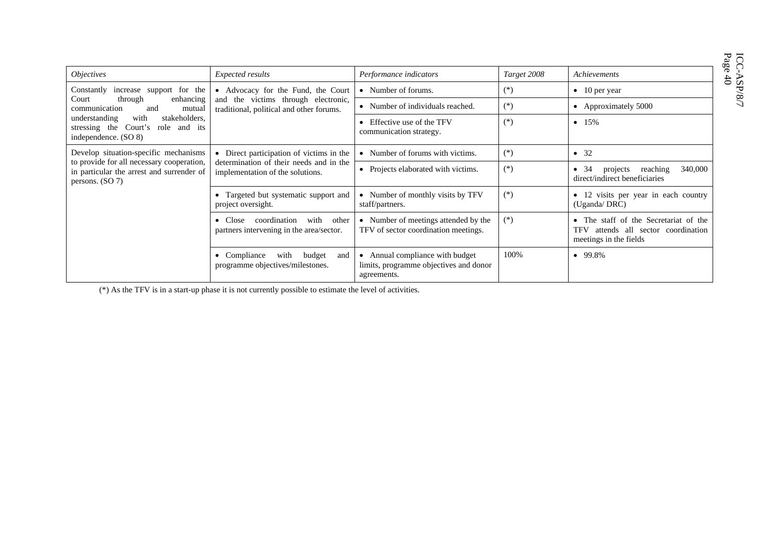$\begin{array}{lcl} & \text{ICC-ASP/S/} \\ & \text{Page 40} \end{array}$ 

| <i>Objectives</i>                                                                                                                                                                                                    | Expected results                                                                                                        | Performance indicators                                                                   | Target 2008 | Achievements                                                                                              |
|----------------------------------------------------------------------------------------------------------------------------------------------------------------------------------------------------------------------|-------------------------------------------------------------------------------------------------------------------------|------------------------------------------------------------------------------------------|-------------|-----------------------------------------------------------------------------------------------------------|
| Constantly<br>increase support for the<br>Court<br>through<br>enhancing<br>communication<br>and<br>mutual<br>stakeholders,<br>understanding<br>with<br>Court's role and its<br>stressing the<br>independence. (SO 8) | • Advocacy for the Fund, the Court<br>and the victims through electronic,<br>traditional, political and other forums.   | • Number of forums.                                                                      | $(*)$       | $\bullet$ 10 per year                                                                                     |
|                                                                                                                                                                                                                      |                                                                                                                         | • Number of individuals reached.                                                         | $(*)$       | • Approximately 5000                                                                                      |
|                                                                                                                                                                                                                      |                                                                                                                         | • Effective use of the TFV<br>communication strategy.                                    | $(*)$       | • $15%$                                                                                                   |
| Develop situation-specific mechanisms<br>to provide for all necessary cooperation,<br>in particular the arrest and surrender of<br>persons. $(SO 7)$                                                                 | • Direct participation of victims in the<br>determination of their needs and in the<br>implementation of the solutions. | • Number of forums with victims.                                                         | $(*)$       | $\bullet$ 32                                                                                              |
|                                                                                                                                                                                                                      |                                                                                                                         | • Projects elaborated with victims.                                                      | $(*)$       | 34<br>reaching<br>340,000<br>projects<br>direct/indirect beneficiaries                                    |
|                                                                                                                                                                                                                      | • Targeted but systematic support and<br>project oversight.                                                             | • Number of monthly visits by TFV<br>staff/partners.                                     | $(*)$       | • 12 visits per year in each country<br>(Uganda/DRC)                                                      |
|                                                                                                                                                                                                                      | coordination<br>with<br>other<br>$\bullet$ Close<br>partners intervening in the area/sector.                            | • Number of meetings attended by the<br>TFV of sector coordination meetings.             | $(*)$       | • The staff of the Secretariat of the<br>attends all sector coordination<br>TFV<br>meetings in the fields |
|                                                                                                                                                                                                                      | with<br>budget<br>$\bullet$ Compliance<br>and<br>programme objectives/milestones.                                       | • Annual compliance with budget<br>limits, programme objectives and donor<br>agreements. | 100%        | $• 99.8\%$                                                                                                |

(\*) As the TFV is in a start-up phase it is not currently possible to estimate the level of activities.